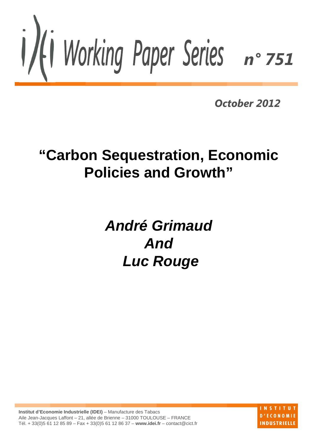

*October 2012*

# **"Carbon Sequestration, Economic Policies and Growth"**

# *André Grimaud And Luc Rouge*

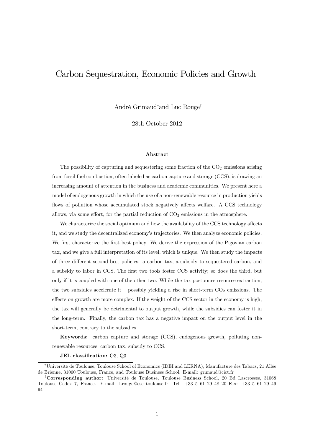## Carbon Sequestration, Economic Policies and Growth

André Grimaud<sup>\*</sup>and Luc Rouge<sup>†</sup>

28th October 2012

#### Abstract

The possibility of capturing and sequestering some fraction of the  $CO<sub>2</sub>$  emissions arising from fossil fuel combustion, often labeled as carbon capture and storage (CCS), is drawing an increasing amount of attention in the business and academic communities. We present here a model of endogenous growth in which the use of a non-renewable resource in production yields flows of pollution whose accumulated stock negatively affects welfare. A CCS technology allows, via some effort, for the partial reduction of  $CO<sub>2</sub>$  emissions in the atmosphere.

We characterize the social optimum and how the availability of the CCS technology affects it, and we study the decentralized economy's trajectories. We then analyze economic policies. We first characterize the first-best policy. We derive the expression of the Pigovian carbon tax, and we give a full interpretation of its level, which is unique. We then study the impacts of three different second-best policies: a carbon tax, a subsidy to sequestered carbon, and a subsidy to labor in CCS. The first two tools foster CCS activity; so does the third, but only if it is coupled with one of the other two. While the tax postpones resource extraction, the two subsidies accelerate it – possibly yielding a rise in short-term  $CO<sub>2</sub>$  emissions. The effects on growth are more complex. If the weight of the CCS sector in the economy is high, the tax will generally be detrimental to output growth, while the subsidies can foster it in the long-term. Finally, the carbon tax has a negative impact on the output level in the short-term, contrary to the subsidies.

Keywords: carbon capture and storage (CCS), endogenous growth, polluting nonrenewable resources, carbon tax, subsidy to CCS.

## JEL classification: O3, Q3

UniversitÈ de Toulouse, Toulouse School of Economics (IDEI and LERNA), Manufacture des Tabacs, 21 AllÈe de Brienne, 31000 Toulouse, France, and Toulouse Business School. E-mail: grimaud@cict.fr

<sup>&</sup>lt;sup>†</sup>Corresponding author: Université de Toulouse, Toulouse Business School, 20 Bd Lascrosses, 31068 Toulouse Cedex 7, France. E-mail: l.rouge@esc-toulouse.fr Tel:  $+33$  5 61 29 48 20 Fax:  $+33$  5 61 29 49 94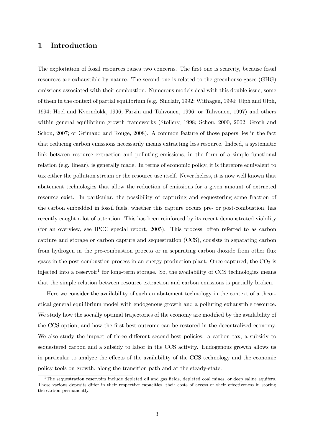## 1 Introduction

The exploitation of fossil resources raises two concerns. The first one is scarcity, because fossil resources are exhaustible by nature. The second one is related to the greenhouse gases (GHG) emissions associated with their combustion. Numerous models deal with this double issue; some of them in the context of partial equilibrium (e.g. Sinclair, 1992; Withagen, 1994; Ulph and Ulph, 1994; Hoel and Kverndokk, 1996; Farzin and Tahvonen, 1996; or Tahvonen, 1997) and others within general equilibrium growth frameworks (Stollery, 1998; Schou, 2000, 2002; Groth and Schou, 2007; or Grimaud and Rouge, 2008). A common feature of those papers lies in the fact that reducing carbon emissions necessarily means extracting less resource. Indeed, a systematic link between resource extraction and polluting emissions, in the form of a simple functional relation (e.g. linear), is generally made. In terms of economic policy, it is therefore equivalent to tax either the pollution stream or the resource use itself. Nevertheless, it is now well known that abatement technologies that allow the reduction of emissions for a given amount of extracted resource exist. In particular, the possibility of capturing and sequestering some fraction of the carbon embedded in fossil fuels, whether this capture occurs pre- or post-combustion, has recently caught a lot of attention. This has been reinforced by its recent demonstrated viability (for an overview, see IPCC special report, 2005). This process, often referred to as carbon capture and storage or carbon capture and sequestration (CCS), consists in separating carbon from hydrogen in the pre-combustion process or in separating carbon dioxide from other flux gases in the post-combustion process in an energy production plant. Once captured, the  $CO<sub>2</sub>$  is injected into a reservoir<sup>1</sup> for long-term storage. So, the availability of CCS technologies means that the simple relation between resource extraction and carbon emissions is partially broken.

Here we consider the availability of such an abatement technology in the context of a theoretical general equilibrium model with endogenous growth and a polluting exhaustible resource. We study how the socially optimal trajectories of the economy are modified by the availability of the CCS option, and how the first-best outcome can be restored in the decentralized economy. We also study the impact of three different second-best policies: a carbon tax, a subsidy to sequestered carbon and a subsidy to labor in the CCS activity. Endogenous growth allows us in particular to analyze the effects of the availability of the CCS technology and the economic policy tools on growth, along the transition path and at the steady-state.

 $1$ The sequestration reservoirs include depleted oil and gas fields, depleted coal mines, or deep saline aquifers. Those various deposits differ in their respective capacities, their costs of access or their effectiveness in storing the carbon permanently.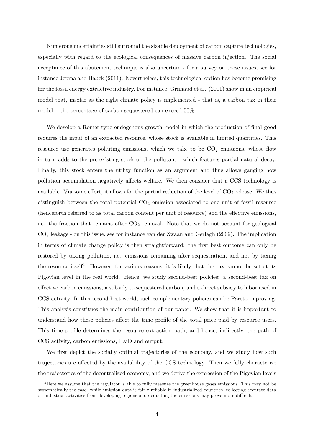Numerous uncertainties still surround the sizable deployment of carbon capture technologies, especially with regard to the ecological consequences of massive carbon injection. The social acceptance of this abatement technique is also uncertain - for a survey on these issues, see for instance Jepma and Hauck (2011). Nevertheless, this technological option has become promising for the fossil energy extractive industry. For instance, Grimaud et al. (2011) show in an empirical model that, insofar as the right climate policy is implemented - that is, a carbon tax in their model -, the percentage of carbon sequestered can exceed 50%.

We develop a Romer-type endogenous growth model in which the production of final good requires the input of an extracted resource, whose stock is available in limited quantities. This resource use generates polluting emissions, which we take to be  $CO<sub>2</sub>$  emissions, whose flow in turn adds to the pre-existing stock of the pollutant - which features partial natural decay. Finally, this stock enters the utility function as an argument and thus allows gauging how pollution accumulation negatively a§ects welfare. We then consider that a CCS technology is available. Via some effort, it allows for the partial reduction of the level of  $CO<sub>2</sub>$  release. We thus distinguish between the total potential  $CO<sub>2</sub>$  emission associated to one unit of fossil resource (henceforth referred to as total carbon content per unit of resource) and the effective emissions, i.e. the fraction that remains after  $CO<sub>2</sub>$  removal. Note that we do not account for geological CO<sup>2</sup> leakage - on this issue, see for instance van der Zwaan and Gerlagh (2009). The implication in terms of climate change policy is then straightforward: the first best outcome can only be restored by taxing pollution, i.e., emissions remaining after sequestration, and not by taxing the resource itself<sup>2</sup>. However, for various reasons, it is likely that the tax cannot be set at its Pigovian level in the real world. Hence, we study second-best policies: a second-best tax on effective carbon emissions, a subsidy to sequestered carbon, and a direct subsidy to labor used in CCS activity. In this second-best world, such complementary policies can be Pareto-improving. This analysis constitues the main contribution of our paper. We show that it is important to understand how these policies affect the time profile of the total price paid by resource users. This time profile determines the resource extraction path, and hence, indirectly, the path of CCS activity, carbon emissions, R&D and output.

We first depict the socially optimal trajectories of the economy, and we study how such trajectories are affected by the availability of the CCS technology. Then we fully characterize the trajectories of the decentralized economy, and we derive the expression of the Pigovian levels

<sup>&</sup>lt;sup>2</sup>Here we assume that the regulator is able to fully measure the greenhouse gases emissions. This may not be systematically the case: while emission data is fairly reliable in industrialized countries, collecting accurate data on industrial activities from developing regions and deducting the emissions may prove more difficult.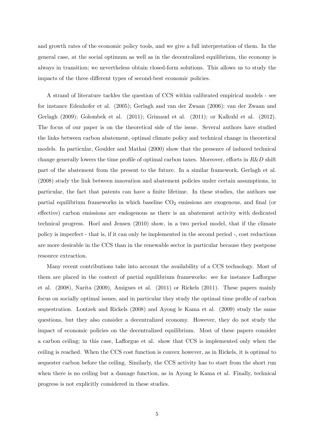and growth rates of the economic policy tools, and we give a full interpretation of them. In the general case, at the social optimum as well as in the decentralized equilibrium, the economy is always in transition; we nevertheless obtain closed-form solutions. This allows us to study the impacts of the three different types of second-best economic policies.

A strand of literature tackles the question of CCS within calibrated empirical models - see for instance Edenhofer et al. (2005); Gerlagh and van der Zwaan (2006); van der Zwaan and Gerlagh (2009); Golombek et al. (2011); Grimaud et al. (2011); or Kalkuhl et al. (2012). The focus of our paper is on the theoretical side of the issue. Several authors have studied the links between carbon abatement, optimal climate policy and technical change in theoretical models. In particular, Goulder and Mathai (2000) show that the presence of induced technical change generally lowers the time profile of optimal carbon taxes. Moreover, efforts in  $R\&D$  shift part of the abatement from the present to the future. In a similar framework, Gerlagh et al. (2008) study the link between innovation and abatement policies under certain assumptions, in particular, the fact that patents can have a finite lifetime. In these studies, the authors use partial equilibrium frameworks in which baseline  $CO<sub>2</sub>$  emissions are exogenous, and final (or effective) carbon emissions are endogenous as there is an abatement activity with dedicated technical progress. Hoel and Jensen (2010) show, in a two period model, that if the climate policy is imperfect - that is, if it can only be implemented in the second period -, cost reductions are more desirable in the CCS than in the renewable sector in particular because they postpone resource extraction.

Many recent contributions take into account the availability of a CCS technology. Most of them are placed in the context of partial equilibrium frameworks: see for instance Lafforgue et al. (2008), Narita (2009), Amigues et al. (2011) or Rickels (2011). These papers mainly focus on socially optimal issues, and in particular they study the optimal time profile of carbon sequestration. Lontzek and Rickels (2008) and Ayong le Kama et al. (2009) study the same questions, but they also consider a decentralized economy. However, they do not study the impact of economic policies on the decentralized equilibrium. Most of these papers consider a carbon ceiling; in this case, Lafforgue et al. show that CCS is implemented only when the ceiling is reached. When the CCS cost function is convex however, as in Rickels, it is optimal to sequester carbon before the ceiling. Similarly, the CCS activity has to start from the short run when there is no ceiling but a damage function, as in Ayong le Kama et al. Finally, technical progress is not explicitly considered in these studies.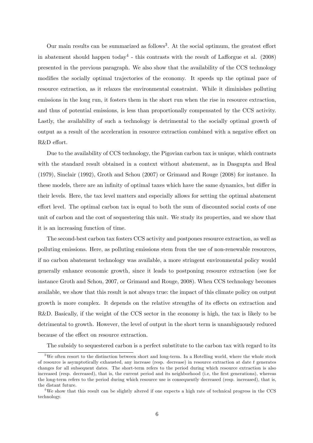Our main results can be summarized as follows<sup>3</sup>. At the social optimum, the greatest effort in abatement should happen today<sup>4</sup> - this contrasts with the result of Lafforgue et al.  $(2008)$ presented in the previous paragraph. We also show that the availability of the CCS technology modifies the socially optimal trajectories of the economy. It speeds up the optimal pace of resource extraction, as it relaxes the environmental constraint. While it diminishes polluting emissions in the long run, it fosters them in the short run when the rise in resource extraction, and thus of potential emissions, is less than proportionally compensated by the CCS activity. Lastly, the availability of such a technology is detrimental to the socially optimal growth of output as a result of the acceleration in resource extraction combined with a negative effect on R&D effort.

Due to the availability of CCS technology, the Pigovian carbon tax is unique, which contrasts with the standard result obtained in a context without abatement, as in Dasgupta and Heal (1979), Sinclair (1992), Groth and Schou (2007) or Grimaud and Rouge (2008) for instance. In these models, there are an infinity of optimal taxes which have the same dynamics, but differ in their levels. Here, the tax level matters and especially allows for setting the optimal abatement effort level. The optimal carbon tax is equal to both the sum of discounted social costs of one unit of carbon and the cost of sequestering this unit. We study its properties, and we show that it is an increasing function of time.

The second-best carbon tax fosters CCS activity and postpones resource extraction, as well as polluting emissions. Here, as polluting emissions stem from the use of non-renewable resources, if no carbon abatement technology was available, a more stringent environmental policy would generally enhance economic growth, since it leads to postponing resource extraction (see for instance Groth and Schou, 2007, or Grimaud and Rouge, 2008). When CCS technology becomes available, we show that this result is not always true: the impact of this climate policy on output growth is more complex. It depends on the relative strengths of its effects on extraction and R&D. Basically, if the weight of the CCS sector in the economy is high, the tax is likely to be detrimental to growth. However, the level of output in the short term is unambiguously reduced because of the effect on resource extraction.

The subsidy to sequestered carbon is a perfect substitute to the carbon tax with regard to its

 $3$ We often resort to the distinction between short and long-term. In a Hotelling world, where the whole stock of resource is asymptotically exhausted, any increase (resp. decrease) in resource extraction at date t generates changes for all subsequent dates. The short-term refers to the period during which resource extraction is also increased (resp. decreased), that is, the current period and its neighborhood (i.e. the first generations), whereas the long-term refers to the period during which resource use is consequently decreased (resp. increased), that is, the distant future.

<sup>4</sup>We show that this result can be slightly altered if one expects a high rate of technical progress in the CCS technology.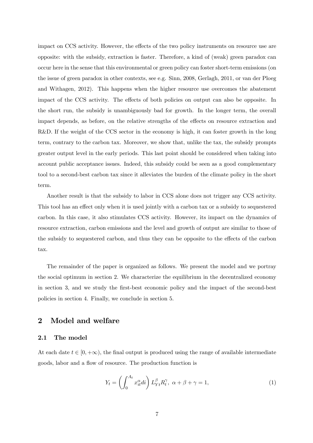impact on CCS activity. However, the effects of the two policy instruments on resource use are opposite: with the subsidy, extraction is faster. Therefore, a kind of (weak) green paradox can occur here in the sense that this environmental or green policy can foster short-term emissions (on the issue of green paradox in other contexts, see e.g. Sinn, 2008, Gerlagh, 2011, or van der Ploeg and Withagen, 2012). This happens when the higher resource use overcomes the abatement impact of the CCS activity. The effects of both policies on output can also be opposite. In the short run, the subsidy is unambiguously bad for growth. In the longer term, the overall impact depends, as before, on the relative strengths of the effects on resource extraction and R&D. If the weight of the CCS sector in the economy is high, it can foster growth in the long term, contrary to the carbon tax. Moreover, we show that, unlike the tax, the subsidy prompts greater output level in the early periods. This last point should be considered when taking into account public acceptance issues. Indeed, this subsidy could be seen as a good complementary tool to a second-best carbon tax since it alleviates the burden of the climate policy in the short term.

Another result is that the subsidy to labor in CCS alone does not trigger any CCS activity. This tool has an effect only when it is used jointly with a carbon tax or a subsidy to sequestered carbon. In this case, it also stimulates CCS activity. However, its impact on the dynamics of resource extraction, carbon emissions and the level and growth of output are similar to those of the subsidy to sequestered carbon, and thus they can be opposite to the effects of the carbon tax.

The remainder of the paper is organized as follows. We present the model and we portray the social optimum in section 2. We characterize the equilibrium in the decentralized economy in section 3, and we study the Örst-best economic policy and the impact of the second-best policies in section 4. Finally, we conclude in section 5.

## 2 Model and welfare

## 2.1 The model

At each date  $t \in [0, +\infty)$ , the final output is produced using the range of available intermediate goods, labor and a flow of resource. The production function is

$$
Y_t = \left(\int_0^{A_t} x_{it}^\alpha di\right) L_{Yt}^\beta R_t^\gamma, \ \alpha + \beta + \gamma = 1,\tag{1}
$$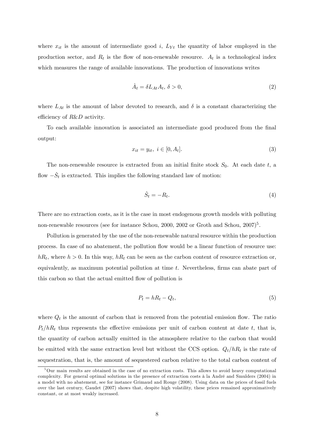where  $x_{it}$  is the amount of intermediate good i,  $L_{Yt}$  the quantity of labor employed in the production sector, and  $R_t$  is the flow of non-renewable resource.  $A_t$  is a technological index which measures the range of available innovations. The production of innovations writes

$$
\dot{A}_t = \delta L_{At} A_t, \, \delta > 0,\tag{2}
$$

where  $L_{At}$  is the amount of labor devoted to research, and  $\delta$  is a constant characterizing the efficiency of  $R\&D$  activity.

To each available innovation is associated an intermediate good produced from the final output:

$$
x_{it} = y_{it}, \ i \in [0, A_t]. \tag{3}
$$

The non-renewable resource is extracted from an initial finite stock  $S_0$ . At each date t, a flow  $-\dot{S}_t$  is extracted. This implies the following standard law of motion:

$$
\dot{S}_t = -R_t. \tag{4}
$$

There are no extraction costs, as it is the case in most endogenous growth models with polluting non-renewable resources (see for instance Schou, 2000, 2002 or Groth and Schou, 2007)<sup>5</sup>.

Pollution is generated by the use of the non-renewable natural resource within the production process. In case of no abatement, the pollution áow would be a linear function of resource use:  $hR_t$ , where  $h > 0$ . In this way,  $hR_t$  can be seen as the carbon content of resource extraction or, equivalently, as maximum potential pollution at time  $t$ . Nevertheless, firms can abate part of this carbon so that the actual emitted flow of pollution is

$$
P_t = hR_t - Q_t,\t\t(5)
$$

where  $Q_t$  is the amount of carbon that is removed from the potential emission flow. The ratio  $P_t/hR_t$  thus represents the effective emissions per unit of carbon content at date t, that is, the quantity of carbon actually emitted in the atmosphere relative to the carbon that would be emitted with the same extraction level but without the CCS option.  $Q_t/hR_t$  is the rate of sequestration, that is, the amount of sequestered carbon relative to the total carbon content of

 $5\,\text{Our main results are obtained in the case of no extraction costs. This allows to avoid heavy computational$ complexity. For general optimal solutions in the presence of extraction costs à la André and Smulders (2004) in a model with no abatement, see for instance Grimaud and Rouge (2008). Using data on the prices of fossil fuels over the last century, Gaudet (2007) shows that, despite high volatility, these prices remained approximatively constant, or at most weakly increased.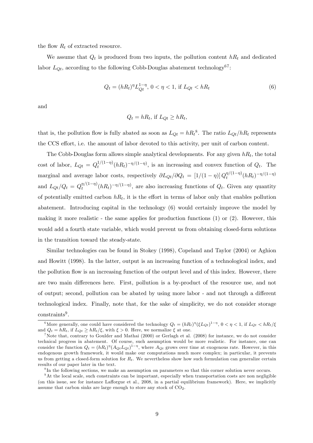the flow  $R_t$  of extracted resource.

We assume that  $Q_t$  is produced from two inputs, the pollution content  $hR_t$  and dedicated labor  $L_{Qt}$ , according to the following Cobb-Douglas abatement technology<sup>67</sup>:

$$
Q_t = (hR_t)^{\eta} L_{Qt}^{1-\eta}, \ 0 < \eta < 1, \ \text{if } L_{Qt} < hR_t \tag{6}
$$

and

$$
Q_t = hR_t
$$
, if  $L_{Qt} \ge hR_t$ ,

that is, the pollution flow is fully abated as soon as  $L_{Qt} = hR_t^8$ . The ratio  $L_{Qt}/hR_t$  represents the CCS effort, i.e. the amount of labor devoted to this activity, per unit of carbon content.

The Cobb-Douglas form allows simple analytical developments. For any given  $hR_t$ , the total cost of labor,  $L_{Qt} = Q_t^{1/(1-\eta)}(hR_t)^{-\eta/(1-\eta)}$ , is an increasing and convex function of  $Q_t$ . The marginal and average labor costs, respectively  $\partial L_{Qt}/\partial Q_t = [1/(1-\eta)] Q_t^{\eta/(1-\eta)}(hR_t)^{-\eta/(1-\eta)}$ and  $L_{Qt}/Q_t = Q_t^{\eta/(1-\eta)}(hR_t)^{-\eta/(1-\eta)}$ , are also increasing functions of  $Q_t$ . Given any quantity of potentially emitted carbon  $hR_t$ , it is the effort in terms of labor only that enables pollution abatement. Introducing capital in the technology (6) would certainly improve the model by making it more realistic - the same applies for production functions  $(1)$  or  $(2)$ . However, this would add a fourth state variable, which would prevent us from obtaining closed-form solutions in the transition toward the steady-state.

Similar technologies can be found in Stokey (1998), Copeland and Taylor (2004) or Aghion and Howitt (1998). In the latter, output is an increasing function of a technological index, and the pollution flow is an increasing function of the output level and of this index. However, there are two main differences here. First, pollution is a by-product of the resource use, and not of output; second, pollution can be abated by using more labor - and not through a different technological index. Finally, note that, for the sake of simplicity, we do not consider storage  $constraints<sup>9</sup>$ .

<sup>&</sup>lt;sup>6</sup>More generally, one could have considered the technology  $Q_t = (hR_t)^\eta (\xi L_{Qt})^{1-\eta}, 0 < \eta < 1$ , if  $L_{Qt} < hR_t/\xi$ and  $Q_t = hR_t$ , if  $L_{Qt} \geq hR_t/\xi$ , with  $\xi > 0$ . Here, we normalize  $\xi$  at one.

<sup>&</sup>lt;sup>7</sup>Note that, contrary to Goulder and Mathai (2000) or Gerlagh et al. (2008) for instance, we do not consider technical progress in abatement. Of course, such assumption would be more realistic. For instance, one can consider the function  $Q_t = (hR_t)^{\eta} (A_{Qt} L_{Qt})^{1-\eta}$ , where  $A_{Qt}$  grows over time at exogenous rate. However, in this endogenous growth framework, it would make our computations much more complex; in particular, it prevents us from getting a closed-form solution for  $R_t$ . We nevertheless show how such formulation can generalize certain results of our paper later in the text.

<sup>&</sup>lt;sup>8</sup>In the following sections, we make an assumption on parameters so that this corner solution never occurs.

<sup>&</sup>lt;sup>9</sup>At the local scale, such constraints can be important, especially when transportation costs are non negligible (on this issue, see for instance Lafforgue et al., 2008, in a partial equilibrium framework). Here, we implicitly assume that carbon sinks are large enough to store any stock of  $CO<sub>2</sub>$ .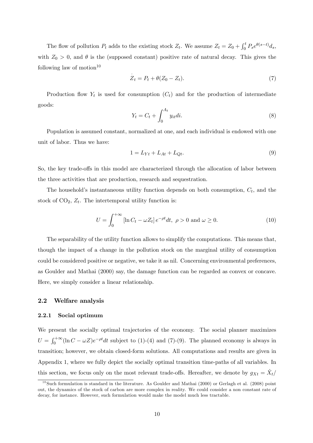The flow of pollution  $P_t$  adds to the existing stock  $Z_t$ . We assume  $Z_t = Z_0 + \int_0^t P_s e^{\theta(s-t)} ds$ , with  $Z_0 > 0$ , and  $\theta$  is the (supposed constant) positive rate of natural decay. This gives the following law of motion $10$ 

$$
\dot{Z}_t = P_t + \theta(Z_0 - Z_t). \tag{7}
$$

Production flow  $Y_t$  is used for consumption  $(C_t)$  and for the production of intermediate goods:

$$
Y_t = C_t + \int_0^{A_t} y_{it} dt.
$$
\n
$$
(8)
$$

Population is assumed constant, normalized at one, and each individual is endowed with one unit of labor. Thus we have:

$$
1 = L_{Yt} + L_{At} + L_{Qt}.\tag{9}
$$

So, the key trade-offs in this model are characterized through the allocation of labor between the three activities that are production, research and sequestration.

The household's instantaneous utility function depends on both consumption,  $C_t$ , and the stock of  $CO<sub>2</sub>, Z<sub>t</sub>$ . The intertemporal utility function is:

$$
U = \int_0^{+\infty} \left[ \ln C_t - \omega Z_t \right] e^{-\rho t} dt, \ \rho > 0 \text{ and } \omega \ge 0. \tag{10}
$$

The separability of the utility function allows to simplify the computations. This means that, though the impact of a change in the pollution stock on the marginal utility of consumption could be considered positive or negative, we take it as nil. Concerning environmental preferences, as Goulder and Mathai (2000) say, the damage function can be regarded as convex or concave. Here, we simply consider a linear relationship.

## 2.2 Welfare analysis

## 2.2.1 Social optimum

We present the socially optimal trajectories of the economy. The social planner maximizes  $U = \int_0^{+\infty} (\ln C - \omega Z) e^{-\rho t} dt$  subject to (1)-(4) and (7)-(9). The planned economy is always in transition; however, we obtain closed-form solutions. All computations and results are given in Appendix 1, where we fully depict the socially optimal transition time-paths of all variables. In this section, we focus only on the most relevant trade-offs. Hereafter, we denote by  $g_{Xt} = \dot{X}_t/$ 

 $10$ Such formulation is standard in the literature. As Goulder and Mathai (2000) or Gerlagh et al. (2008) point out, the dynamics of the stock of carbon are more complex in reality. We could consider a non constant rate of decay, for instance. However, such formulation would make the model much less tractable.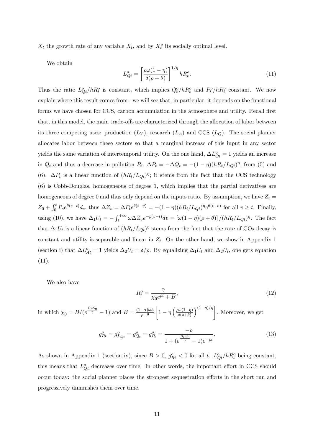$X_t$  the growth rate of any variable  $X_t$ , and by  $X_t^o$  its socially optimal level.

We obtain

$$
L_{Qt}^{o} = \left[\frac{\rho\omega(1-\eta)}{\delta(\rho+\theta)}\right]^{1/\eta}hR_{t}^{o}.
$$
\n(11)

Thus the ratio  $L_{Qt}^o/hR_t^o$  is constant, which implies  $Q_t^o/hR_t^o$  and  $P_t^o/hR_t^o$  constant. We now explain where this result comes from - we will see that, in particular, it depends on the functional forms we have chosen for CCS, carbon accumulation in the atmosphere and utility. Recall first that, in this model, the main trade-offs are characterized through the allocation of labor between its three competing uses: production  $(L_Y)$ , research  $(L_A)$  and CCS  $(L_Q)$ . The social planner allocates labor between these sectors so that a marginal increase of this input in any sector yields the same variation of intertemporal utility. On the one hand,  $\Delta L_{Qt}^o = 1$  yields an increase in  $Q_t$  and thus a decrease in pollution  $P_t$ :  $\Delta P_t = -\Delta Q_t = -(1 - \eta)(hR_t/L_{Qt})^{\eta}$ , from (5) and (6).  $\Delta P_t$  is a linear function of  $(hR_t/L_{Qt})^{\eta}$ ; it stems from the fact that the CCS technology (6) is Cobb-Douglas, homogeneous of degree 1, which implies that the partial derivatives are homogeneous of degree 0 and thus only depend on the inputs ratio. By assumption, we have  $Z_t =$  $Z_0 + \int_0^t P_s e^{\theta(s-t)} ds$ , thus  $\Delta Z_v = \Delta P_t e^{\theta(t-v)} = -(1-\eta)(hR_t/L_{Qt})^{\eta} e^{\theta(t-v)}$  for all  $v \ge t$ . Finally, using (10), we have  $\Delta_1 U_t = -\int_t^{+\infty} \omega \Delta Z_v e^{-\rho(v-t)} dv = [\omega(1-\eta)(\rho+\theta)] / (hR_t/L_{Qt})^{\eta}$ . The fact that  $\Delta_1 U_t$  is a linear function of  $(hR_t/L_{Qt})^{\eta}$  stems from the fact that the rate of CO<sub>2</sub> decay is constant and utility is separable and linear in  $Z_t$ . On the other hand, we show in Appendix 1 (section i) that  $\Delta L_{At}^o = 1$  yields  $\Delta_2 U_t = \delta/\rho$ . By equalizing  $\Delta_1 U_t$  and  $\Delta_2 U_t$ , one gets equation (11).

We also have

$$
R_t^o = \frac{\gamma}{\chi_0 e^{\rho t} + B},\tag{12}
$$

in which  $\chi_0 = B/(e^{\frac{B\rho S_0}{\gamma}}-1)$  and  $B = \frac{(1-\alpha)\omega h}{\rho+\theta}$  $\sqrt{ }$  $1 - \eta \left( \frac{\rho \omega (1 - \eta)}{\delta (\rho + \theta)} \right)$  $\left.\sum_{n=1}^{\left(1-\eta\right)/\eta}\right]$ . Moreover, we get

$$
g_{Rt}^o = g_{L_{Qt}}^o = g_{Q_t}^o = g_{P_t}^o = \frac{-\rho}{1 + (e^{\frac{B\rho S_0}{\gamma}} - 1)e^{-\rho t}}.
$$
\n(13)

As shown in Appendix 1 (section iv), since  $B > 0$ ,  $g_{Rt}^o < 0$  for all t.  $L_{Qt}^o/hR_t^o$  being constant, this means that  $L_{Qt}^o$  decreases over time. In other words, the important effort in CCS should occur today: the social planner places the strongest sequestration efforts in the short run and progressively diminishes them over time.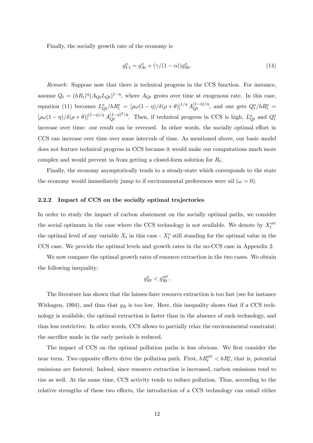Finally, the socially growth rate of the economy is

$$
g_{Yt}^o = g_{At}^o + (\gamma/(1-\alpha))g_{Rt}^o.
$$
\n(14)

Remark: Suppose now that there is technical progress in the CCS function. For instance, assume  $Q_t = (hR_t)^{\eta} (A_{Qt} L_{Qt})^{1-\eta}$ , where  $A_{Qt}$  grows over time at exogenous rate. In this case, equation (11) becomes  $L_{Qt}^o/hR_t^o = [\rho\omega(1-\eta)/\delta(\rho+\theta)]^{1/\eta} A_{Qt}^{(1-\eta)/\eta}$ , and one gets  $Q_t^o/hR_t^o =$  $[\rho\omega(1-\eta)/\delta(\rho+\theta)]^{(1-\eta)/\eta}A_{Qt}^{(1-\eta)^2/\eta}$ . Then, if technical progress in CCS is high,  $L_{Qt}^o$  and  $Q_t^o$ increase over time: our result can be reversed. In other words, the socially optimal effort in CCS can increase over time over some intervals of time. As mentioned above, our basic model does not feature technical progress in CCS because it would make our computations much more complex and would prevent us from getting a closed-form solution for  $R_t$ .

Finally, the economy asymptotically tends to a steady-state which corresponds to the state the economy would immediately jump to if environmental preferences were nil  $(\omega = 0)$ .

## 2.2.2 Impact of CCS on the socially optimal trajectories

In order to study the impact of carbon abatement on the socially optimal paths, we consider the social optimum in the case where the CCS technology is not available. We denote by  $X_t^{\rho\varnothing}$ the optimal level of any variable  $X_t$  in this case -  $X_t^o$  still standing for the optimal value in the CCS case. We provide the optimal levels and growth rates in the no-CCS case in Appendix 2.

We now compare the optimal growth rates of resource extraction in the two cases. We obtain the following inequality:

$$
g^o_{Rt} < g^o_{Rt}.
$$

The literature has shown that the laissez-faire resource extraction is too fast (see for instance Withagen, 1994), and thus that  $g_R$  is too low. Here, this inequality shows that if a CCS technology is available, the optimal extraction is faster than in the absence of such technology, and thus less restrictive. In other words, CCS allows to partially relax the environmental constraint; the sacrifice made in the early periods is reduced.

The impact of CCS on the optimal pollution paths is less obvious. We first consider the near term. Two opposite effects drive the pollution path. First,  $h R_t^{\rho\sigma} < h R_t^{\rho}$ , that is, potential emissions are fostered. Indeed, since resource extraction is increased, carbon emissions tend to rise as well. At the same time, CCS activity tends to reduce pollution. Thus, according to the relative strengths of these two effects, the introduction of a CCS technology can entail either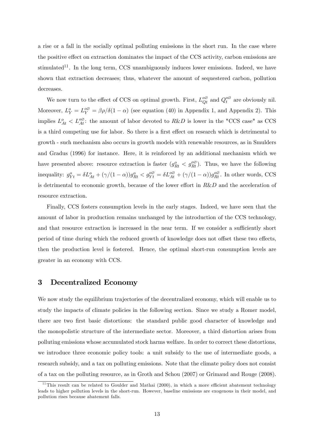a rise or a fall in the socially optimal polluting emissions in the short run. In the case where the positive effect on extraction dominates the impact of the CCS activity, carbon emissions are stimulated<sup>11</sup>. In the long term, CCS unambiguously induces lower emissions. Indeed, we have shown that extraction decreases; thus, whatever the amount of sequestered carbon, pollution decreases.

We now turn to the effect of CCS on optimal growth. First,  $L_{Qt}^{\infty}$  and  $Q_t^{\infty}$  are obviously nil. Moreover,  $L_Y^o = L_Y^{o\varnothing} = \beta \rho/\delta(1-\alpha)$  (see equation (40) in Appendix 1, and Appendix 2). This implies  $L_{At}^o < L_{At}^{\infty}$ : the amount of labor devoted to  $R\&D$  is lower in the "CCS case" as CCS is a third competing use for labor. So there is a first effect on research which is detrimental to growth - such mechanism also occurs in growth models with renewable resources, as in Smulders and Gradus (1996) for instance. Here, it is reinforced by an additional mechanism which we have presented above: resource extraction is faster  $(g_{Rt}^o < g_{Rt}^{\infty})$ . Thus, we have the following inequality:  $g_{Yt}^o = \delta L_{At}^o + (\gamma/(1-\alpha))g_{Rt}^o < g_{Yt}^o = \delta L_{At}^{o\varnothing} + (\gamma/(1-\alpha))g_{Rt}^{o\varnothing}$ . In other words, CCS is detrimental to economic growth, because of the lower effort in  $R\&D$  and the acceleration of resource extraction.

Finally, CCS fosters consumption levels in the early stages. Indeed, we have seen that the amount of labor in production remains unchanged by the introduction of the CCS technology, and that resource extraction is increased in the near term. If we consider a sufficiently short period of time during which the reduced growth of knowledge does not offset these two effects, then the production level is fostered. Hence, the optimal short-run consumption levels are greater in an economy with CCS.

## 3 Decentralized Economy

We now study the equilibrium trajectories of the decentralized economy, which will enable us to study the impacts of climate policies in the following section. Since we study a Romer model, there are two first basic distortions: the standard public good character of knowledge and the monopolistic structure of the intermediate sector. Moreover, a third distortion arises from polluting emissions whose accumulated stock harms welfare. In order to correct these distortions, we introduce three economic policy tools: a unit subsidy to the use of intermediate goods, a research subsidy, and a tax on polluting emissions. Note that the climate policy does not consist of a tax on the polluting resource, as in Groth and Schou (2007) or Grimaud and Rouge (2008).

 $11$ This result can be related to Goulder and Mathai (2000), in which a more efficient abatement technology leads to higher pollution levels in the short-run. However, baseline emissions are exogenous in their model, and pollution rises because abatement falls.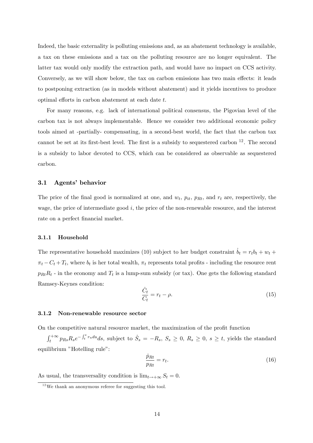Indeed, the basic externality is polluting emissions and, as an abatement technology is available, a tax on these emissions and a tax on the polluting resource are no longer equivalent. The latter tax would only modify the extraction path, and would have no impact on CCS activity. Conversely, as we will show below, the tax on carbon emissions has two main effects: it leads to postponing extraction (as in models without abatement) and it yields incentives to produce optimal efforts in carbon abatement at each date  $t$ .

For many reasons, e.g. lack of international political consensus, the Pigovian level of the carbon tax is not always implementable. Hence we consider two additional economic policy tools aimed at -partially- compensating, in a second-best world, the fact that the carbon tax cannot be set at its first-best level. The first is a subsidy to sequestered carbon  $^{12}$ . The second is a subsidy to labor devoted to CCS, which can be considered as observable as sequestered carbon.

## 3.1 Agents' behavior

The price of the final good is normalized at one, and  $w_t$ ,  $p_{it}$ ,  $p_{Rt}$ , and  $r_t$  are, respectively, the wage, the price of intermediate good  $i$ , the price of the non-renewable resource, and the interest rate on a perfect financial market.

## 3.1.1 Household

The representative household maximizes (10) subject to her budget constraint  $\dot{b}_t = r_t b_t + w_t +$  $\pi_t - C_t + T_t$ , where  $b_t$  is her total wealth,  $\pi_t$  represents total profits - including the resource rent  $p_{Rt}R_t$  - in the economy and  $T_t$  is a lump-sum subsidy (or tax). One gets the following standard Ramsey-Keynes condition:

$$
\frac{\dot{C}_t}{C_t} = r_t - \rho. \tag{15}
$$

## 3.1.2 Non-renewable resource sector

On the competitive natural resource market, the maximization of the profit function

 $\int_t^{+\infty} p_{Rs} R_s e^{-\int_t^s r_u du} ds$ , subject to  $\dot{S}_s = -R_s$ ,  $S_s \ge 0$ ,  $R_s \ge 0$ ,  $s \ge t$ , yields the standard equilibrium "Hotelling rule":

$$
\frac{\dot{p}_{Rt}}{p_{Rt}} = r_t. \tag{16}
$$

As usual, the transversality condition is  $\lim_{t\to+\infty} S_t = 0$ .

 $12$  We thank an anonymous referee for suggesting this tool.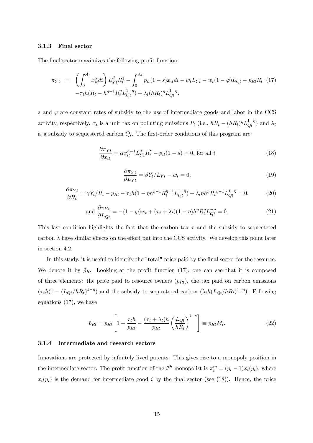## 3.1.3 Final sector

The final sector maximizes the following profit function:

$$
\pi_{Yt} = \left( \int_0^{A_t} x_{it}^{\alpha} di \right) L_{Yt}^{\beta} R_t^{\gamma} - \int_0^{A_t} p_{it} (1 - s) x_{it} di - w_t L_{Yt} - w_t (1 - \varphi) L_{Qt} - p_{Rt} R_t
$$
 (17)  

$$
-\tau_t h (R_t - h^{\eta - 1} R_t^{\eta} L_{Qt}^{1 - \eta}) + \lambda_t (h R_t)^{\eta} L_{Qt}^{1 - \eta}.
$$

s and  $\varphi$  are constant rates of subsidy to the use of intermediate goods and labor in the CCS activity, respectively.  $\tau_t$  is a unit tax on polluting emissions  $P_t$  (i.e.,  $hR_t - (hR_t)^\eta L_{Qt}^{1-\eta}$ ) and  $\lambda_t$ is a subsidy to sequestered carbon  $Q_t$ . The first-order conditions of this program are:

$$
\frac{\partial \pi_{Yt}}{\partial x_{it}} = \alpha x_{it}^{\alpha - 1} L_{Yt}^{\beta} R_t^{\gamma} - p_{it}(1 - s) = 0, \text{ for all } i
$$
\n(18)

$$
\frac{\partial \pi_{Yt}}{\partial L_{Yt}} = \beta Y_t / L_{Yt} - w_t = 0, \qquad (19)
$$

$$
\frac{\partial \pi_{Yt}}{\partial R_t} = \gamma Y_t / R_t - p_{Rt} - \tau_t h (1 - \eta h^{\eta - 1} R_t^{\eta - 1} L_{Qt}^{1 - \eta}) + \lambda_t \eta h^{\eta} R_t^{\eta - 1} L_{Qt}^{1 - \eta} = 0, \tag{20}
$$

and 
$$
\frac{\partial \pi_{Yt}}{\partial L_{Qt}} = -(1 - \varphi)w_t + (\tau_t + \lambda_t)(1 - \eta)h^{\eta}R_t^{\eta}L_{Qt}^{-\eta} = 0.
$$
 (21)

This last condition highlights the fact that the carbon tax  $\tau$  and the subsidy to sequestered carbon  $\lambda$  have similar effects on the effort put into the CCS activity. We develop this point later in section 4.2.

In this study, it is useful to identify the "total" price paid by the final sector for the resource. We denote it by  $\tilde{p}_R$ . Looking at the profit function (17), one can see that it is composed of three elements: the price paid to resource owners  $(p_{Rt})$ , the tax paid on carbon emissions  $(\tau_t h(1 - (L_{Qt}/hR_t)^{1-\eta})$  and the subsidy to sequestered carbon  $(\lambda_t h(L_{Qt}/hR_t)^{1-\eta})$ . Following equations (17), we have

$$
\tilde{p}_{Rt} = p_{Rt} \left[ 1 + \frac{\tau_t h}{p_{Rt}} - \frac{(\tau_t + \lambda_t)h}{p_{Rt}} \left( \frac{L_{Qt}}{h_{Rt}} \right)^{1-\eta} \right] \equiv p_{Rt} M_t.
$$
\n(22)

## 3.1.4 Intermediate and research sectors

Innovations are protected by infinitely lived patents. This gives rise to a monopoly position in the intermediate sector. The profit function of the  $i^{th}$  monopolist is  $\pi_i^m = (p_i - 1)x_i(p_i)$ , where  $x_i(p_i)$  is the demand for intermediate good i by the final sector (see (18)). Hence, the price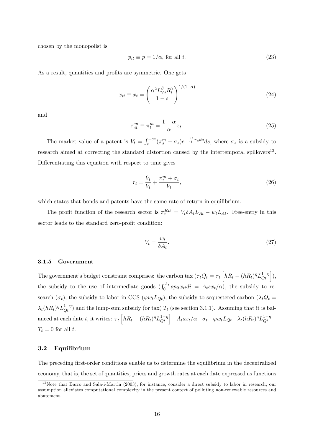chosen by the monopolist is

$$
p_{it} \equiv p = 1/\alpha, \text{ for all } i. \tag{23}
$$

As a result, quantities and profits are symmetric. One gets

$$
x_{it} \equiv x_t = \left(\frac{\alpha^2 L_{Yt}^{\beta} R_t^{\gamma}}{1 - s}\right)^{1/(1 - \alpha)}
$$
\n(24)

and

$$
\pi_{it}^m \equiv \pi_t^m = \frac{1 - \alpha}{\alpha} x_t.
$$
\n(25)

The market value of a patent is  $V_t = \int_t^{+\infty} (\pi_s^m + \sigma_s) e^{-\int_t^s r_u du} ds$ , where  $\sigma_s$  is a subsidy to research aimed at correcting the standard distortion caused by the intertemporal spillovers<sup>13</sup>. Differentiating this equation with respect to time gives

$$
r_t = \frac{\dot{V}_t}{V_t} + \frac{\pi_t^m + \sigma_t}{V_t},\tag{26}
$$

which states that bonds and patents have the same rate of return in equilibrium.

The profit function of the research sector is  $\pi_t^{RD} = V_t \delta A_t L_{At} - w_t L_{At}$ . Free-entry in this sector leads to the standard zero-profit condition:

$$
V_t = \frac{w_t}{\delta A_t}.\tag{27}
$$

## 3.1.5 Government

The government's budget constraint comprises: the carbon tax  $(\tau_t Q_t = \tau_t \left[ hR_t - (hR_t)^{\eta} L_{Qt}^{1-\eta} \right]),$ the subsidy to the use of intermediate goods  $\left(\int_0^{A_t} sp_{it}x_{it}di = A_tsx_t/\alpha\right)$ , the subsidy to research  $(\sigma_t)$ , the subsidy to labor in CCS ( $\varphi w_t L_{Qt}$ ), the subsidy to sequestered carbon ( $\lambda_t Q_t$  =  $\lambda_t(hR_t)^\eta L_{Q_t}^{1-\eta}$  and the lump-sum subsidy (or tax)  $T_t$  (see section 3.1.1). Assuming that it is balanced at each date t, it writes:  $\tau_t \left[ hR_t - (hR_t)^{\eta} L_{Qt}^{1-\eta} \right] - A_t s x_t / \alpha - \sigma_t - \varphi w_t L_{Qt} - \lambda_t (hR_t)^{\eta} L_{Qt}^{1-\eta} T_t = 0$  for all t.

## 3.2 Equilibrium

The preceding first-order conditions enable us to determine the equilibrium in the decentralized economy, that is, the set of quantities, prices and growth rates at each date expressed as functions

<sup>&</sup>lt;sup>13</sup>Note that Barro and Sala-i-Martin (2003), for instance, consider a direct subsidy to labor in research; our assumption alleviates computational complexity in the present context of polluting non-renewable resources and abatement.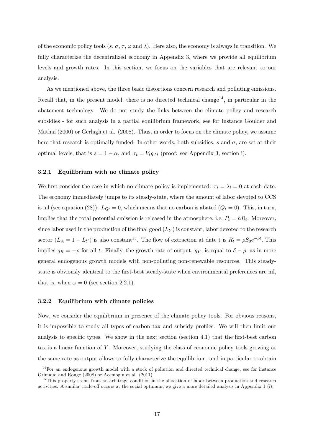of the economic policy tools  $(s, \sigma, \tau, \varphi \text{ and } \lambda)$ . Here also, the economy is always in transition. We fully characterize the decentralized economy in Appendix 3, where we provide all equilibrium levels and growth rates. In this section, we focus on the variables that are relevant to our analysis.

As we mentioned above, the three basic distortions concern research and polluting emissions. Recall that, in the present model, there is no directed technical change<sup>14</sup>, in particular in the abatement technology. We do not study the links between the climate policy and research subsidies - for such analysis in a partial equilibrium framework, see for instance Goulder and Mathai (2000) or Gerlagh et al. (2008). Thus, in order to focus on the climate policy, we assume here that research is optimally funded. In other words, both subsidies, s and  $\sigma$ , are set at their optimal levels, that is  $s = 1 - \alpha$ , and  $\sigma_t = V_t g_{At}$  (proof: see Appendix 3, section i).

## 3.2.1 Equilibrium with no climate policy

We first consider the case in which no climate policy is implemented:  $\tau_t = \lambda_t = 0$  at each date. The economy immediately jumps to its steady-state, where the amount of labor devoted to CCS is nil (see equation (28)):  $L_{Qt} = 0$ , which means that no carbon is abated ( $Q_t = 0$ ). This, in turn, implies that the total potential emission is released in the atmosphere, i.e.  $P_t = hR_t$ . Moreover, since labor used in the production of the final good  $(L_Y)$  is constant, labor devoted to the research sector  $(L_A = 1 - L_Y)$  is also constant<sup>15</sup>. The flow of extraction at date t is  $R_t = \rho S_0 e^{-\rho t}$ . This implies  $g_R = -\rho$  for all t. Finally, the growth rate of output,  $g_Y$ , is equal to  $\delta - \rho$ , as in more general endogenous growth models with non-polluting non-renewable resources. This steadystate is obviously identical to the first-best steady-state when environmental preferences are nil, that is, when  $\omega = 0$  (see section 2.2.1).

## 3.2.2 Equilibrium with climate policies

Now, we consider the equilibrium in presence of the climate policy tools. For obvious reasons, it is impossible to study all types of carbon tax and subsidy profiles. We will then limit our analysis to specific types. We show in the next section (section 4.1) that the first-best carbon tax is a linear function of Y. Moreover, studying the class of economic policy tools growing at the same rate as output allows to fully characterize the equilibrium, and in particular to obtain

<sup>&</sup>lt;sup>14</sup>For an endogenous growth model with a stock of pollution and directed technical change, see for instance Grimaud and Rouge (2008) or Acemoglu et al. (2011).

<sup>&</sup>lt;sup>15</sup>This property stems from an arbitrage condition in the allocation of labor between production and research activities. A similar trade-off occurs at the social optimum; we give a more detailed analysis in Appendix 1 (i).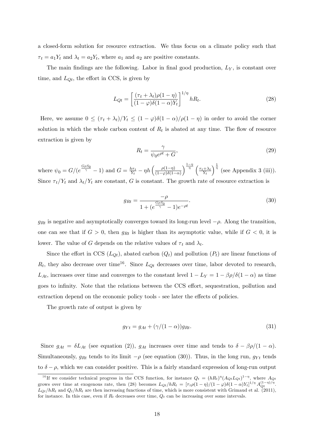a closed-form solution for resource extraction. We thus focus on a climate policy such that  $\tau_t = a_1 Y_t$  and  $\lambda_t = a_2 Y_t$ , where  $a_1$  and  $a_2$  are positive constants.

The main findings are the following. Labor in final good production,  $L<sub>Y</sub>$ , is constant over time, and  $L_{Qt}$ , the effort in CCS, is given by

$$
L_{Qt} = \left[\frac{(\tau_t + \lambda_t)\rho(1-\eta)}{(1-\varphi)\delta(1-\alpha)Y_t}\right]^{1/\eta} h_{t}.
$$
\n(28)

Here, we assume  $0 \leq (\tau_t + \lambda_t)/Y_t \leq (1 - \varphi)\delta(1 - \alpha)/\rho(1 - \eta)$  in order to avoid the corner solution in which the whole carbon content of  $R_t$  is abated at any time. The flow of resource extraction is given by

$$
R_t = \frac{\gamma}{\psi_0 e^{\rho t} + G},\tag{29}
$$

where  $\psi_0 = G/(e^{\frac{G\rho S_0}{\gamma}} - 1)$  and  $G = \frac{h\tau_t}{Y_t}$  $\frac{\partial \tau_t}{\partial Y_t} - \eta h \left( \frac{\rho(1-\eta)}{(1-\varphi)\delta(1-\varphi)} \right)$  $(1-\varphi)\delta(1-\alpha)$  $\int_{0}^{\frac{1-\eta}{\eta}} \left( \frac{\tau_t + \lambda_t}{\eta} \right)$  $Y_t$  $\int_{0}^{\frac{1}{\eta}}$  (see Appendix 3 (iii)). Since  $\tau_t/Y_t$  and  $\lambda_t/Y_t$  are constant, G is constant. The growth rate of resource extraction is

$$
g_{Rt} = \frac{-\rho}{1 + (e^{\frac{G\rho S_0}{\gamma}} - 1)e^{-\rho t}}.
$$
\n(30)

 $g_{Rt}$  is negative and asymptotically converges toward its long-run level  $-\rho$ . Along the transition, one can see that if  $G > 0$ , then  $g_{Rt}$  is higher than its asymptotic value, while if  $G < 0$ , it is lower. The value of G depends on the relative values of  $\tau_t$  and  $\lambda_t$ .

Since the effort in CCS  $(L_{Qt})$ , abated carbon  $(Q_t)$  and pollution  $(P_t)$  are linear functions of  $R_t$ , they also decrease over time<sup>16</sup>. Since  $L_{Qt}$  decreases over time, labor devoted to research,  $L_{At}$ , increases over time and converges to the constant level  $1 - L_Y = 1 - \beta \rho / \delta(1 - \alpha)$  as time goes to infinity. Note that the relations between the CCS effort, sequestration, pollution and extraction depend on the economic policy tools - see later the effects of policies.

The growth rate of output is given by

$$
g_{Yt} = g_{At} + (\gamma/(1-\alpha))g_{Rt}.\tag{31}
$$

Since  $g_{At} = \delta L_{At}$  (see equation (2)),  $g_{At}$  increases over time and tends to  $\delta - \beta \rho/(1 - \alpha)$ . Simultaneously,  $g_{Rt}$  tends to its limit  $-\rho$  (see equation (30)). Thus, in the long run,  $g_{Yt}$  tends to  $\delta - \rho$ , which we can consider positive. This is a fairly standard expression of long-run output

<sup>&</sup>lt;sup>16</sup>If we consider technical progress in the CCS function, for instance  $Q_t = (hR_t)^{\eta} (A_{Qt} L_{Qt})^{1-\eta}$ , where  $A_{Qt}$ grows over time at exogenous rate, then (28) becomes  $L_{Qt}/hR_t = [\tau_t \rho (1 - \eta)/(1 - \varphi)\delta(1 - \alpha)Y_t]^{1/\eta} A_{Qt}^{(1 - \eta)/\eta}$ .  $L_{Qt}/hR_t$  and  $Q_t/hR_t$  are then increasing functions of time, which is more consistent with Grimaud et al. (2011), for instance. In this case, even if  $R_t$  decreases over time,  $Q_t$  can be increasing over some intervals.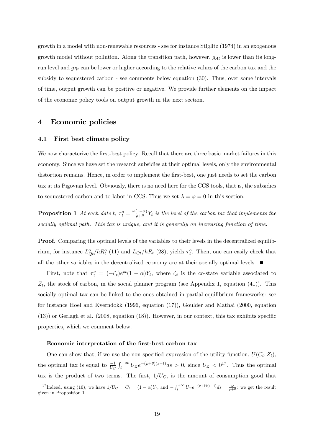growth in a model with non-renewable resources - see for instance Stiglitz (1974) in an exogenous growth model without pollution. Along the transition path, however,  $g_{\mathcal{A}t}$  is lower than its longrun level and  $g_{Rt}$  can be lower or higher according to the relative values of the carbon tax and the subsidy to sequestered carbon - see comments below equation (30). Thus, over some intervals of time, output growth can be positive or negative. We provide further elements on the impact of the economic policy tools on output growth in the next section.

## 4 Economic policies

## 4.1 First best climate policy

We now characterize the first-best policy. Recall that there are three basic market failures in this economy. Since we have set the research subsidies at their optimal levels, only the environmental distortion remains. Hence, in order to implement the first-best, one just needs to set the carbon tax at its Pigovian level. Obviously, there is no need here for the CCS tools, that is, the subsidies to sequestered carbon and to labor in CCS. Thus we set  $\lambda = \varphi = 0$  in this section.

**Proposition 1** At each date t,  $\tau_t^o = \frac{\omega(1-\alpha)}{\rho+\theta} Y_t$  is the level of the carbon tax that implements the socially optimal path. This tax is unique, and it is generally an increasing function of time.

Proof. Comparing the optimal levels of the variables to their levels in the decentralized equilibrium, for instance  $L_{Qt}^o/hR_t^o$  (11) and  $L_{Qt}/hR_t$  (28), yields  $\tau_t^o$ . Then, one can easily check that all the other variables in the decentralized economy are at their socially optimal levels.

First, note that  $\tau_t^o = (-\zeta_t)e^{\rho t}(1-\alpha)Y_t$ , where  $\zeta_t$  is the co-state variable associated to  $Z_t$ , the stock of carbon, in the social planner program (see Appendix 1, equation (41)). This socially optimal tax can be linked to the ones obtained in partial equilibrium frameworks: see for instance Hoel and Kverndokk (1996, equation (17)), Goulder and Mathai (2000, equation  $(13)$  or Gerlagh et al.  $(2008, \text{ equation } (18))$ . However, in our context, this tax exhibits specific properties, which we comment below.

#### Economic interpretation of the first-best carbon tax

One can show that, if we use the non-specified expression of the utility function,  $U(C_t, Z_t)$ , the optimal tax is equal to  $\frac{-1}{U_C}\int_t^{+\infty}U_Ze^{-(\rho+\theta)(s-t)}ds > 0$ , since  $U_Z < 0^{17}$ . Thus the optimal tax is the product of two terms. The first,  $1/U<sub>C</sub>$ , is the amount of consumption good that

<sup>&</sup>lt;sup>17</sup>Indeed, using (10), we have  $1/U_C = C_t = (1 - \alpha)Y_t$ , and  $-\int_t^{+\infty} U_Z e^{-(\rho + \theta)(s-t)} ds = \frac{\omega}{\rho + \theta}$ : we get the result given in Proposition 1.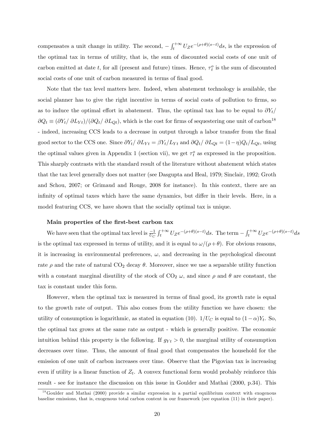compensates a unit change in utility. The second,  $-\int_{t}^{+\infty} U_{Z}e^{-(\rho+\theta)(s-t)}ds$ , is the expression of the optimal tax in terms of utility, that is, the sum of discounted social costs of one unit of carbon emitted at date t, for all (present and future) times. Hence,  $\tau_t^o$  is the sum of discounted social costs of one unit of carbon measured in terms of final good.

Note that the tax level matters here. Indeed, when abatement technology is available, the social planner has to give the right incentive in terms of social costs of pollution to firms, so as to induce the optimal effort in abatement. Thus, the optimal tax has to be equal to  $\partial Y_t$  $\partial Q_t \equiv (\partial Y_t/\partial L_{Yt})/(\partial Q_t/\partial L_{Qt})$ , which is the cost for firms of sequestering one unit of carbon<sup>18</sup> - indeed, increasing CCS leads to a decrease in output through a labor transfer from the final good sector to the CCS one. Since  $\partial Y_t/\partial L_{Yt} = \beta Y_t/L_{Yt}$  and  $\partial Q_t/\partial L_{Qt} = (1-\eta)Q_t/L_{Qt}$ , using the optimal values given in Appendix 1 (section vii), we get  $\tau_t^o$  as expressed in the proposition. This sharply contrasts with the standard result of the literature without abatement which states that the tax level generally does not matter (see Dasgupta and Heal, 1979; Sinclair, 1992; Groth and Schou, 2007; or Grimaud and Rouge, 2008 for instance). In this context, there are an infinity of optimal taxes which have the same dynamics, but differ in their levels. Here, in a model featuring CCS, we have shown that the socially optimal tax is unique.

## Main properties of the first-best carbon tax

We have seen that the optimal tax level is  $\frac{-1}{U_C}\int_t^{+\infty}U_Ze^{-(\rho+\theta)(s-t)}ds$ . The term  $-\int_t^{+\infty}U_Ze^{-(\rho+\theta)(s-t)}ds$ is the optimal tax expressed in terms of utility, and it is equal to  $\omega/(\rho+\theta)$ . For obvious reasons, it is increasing in environmental preferences,  $\omega$ , and decreasing in the psychological discount rate  $\rho$  and the rate of natural CO<sub>2</sub> decay  $\theta$ . Moreover, since we use a separable utility function with a constant marginal disutility of the stock of  $CO<sub>2</sub> \omega$ , and since  $\rho$  and  $\theta$  are constant, the tax is constant under this form.

However, when the optimal tax is measured in terms of final good, its growth rate is equal to the growth rate of output. This also comes from the utility function we have chosen: the utility of consumption is logarithmic, as stated in equation (10).  $1/U_C$  is equal to  $(1-\alpha)Y_t$ . So, the optimal tax grows at the same rate as output - which is generally positive. The economic intuition behind this property is the following. If  $g_{Yt} > 0$ , the marginal utility of consumption decreases over time. Thus, the amount of final good that compensates the household for the emission of one unit of carbon increases over time. Observe that the Pigovian tax is increasing even if utility is a linear function of  $Z_t$ . A convex functional form would probably reinforce this result - see for instance the discussion on this issue in Goulder and Mathai (2000, p.34). This

 $^{18}$ Goulder and Mathai (2000) provide a similar expression in a partial equilibrium context with exogenous baseline emissions, that is, exogenous total carbon content in our framework (see equation (11) in their paper).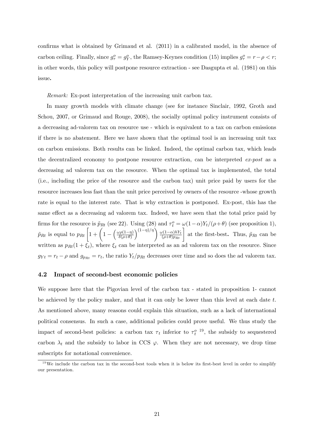confirms what is obtained by Grimaud et al. (2011) in a calibrated model, in the absence of carbon ceiling. Finally, since  $g^o_\tau = g^o_Y$ , the Ramsey-Keynes condition (15) implies  $g^o_\tau = r - \rho < r$ ; in other words, this policy will postpone resource extraction - see Dasgupta et al. (1981) on this issue.

Remark: Ex-post interpretation of the increasing unit carbon tax.

In many growth models with climate change (see for instance Sinclair, 1992, Groth and Schou, 2007, or Grimaud and Rouge, 2008), the socially optimal policy instrument consists of a decreasing ad-valorem tax on resource use - which is equivalent to a tax on carbon emissions if there is no abatement. Here we have shown that the optimal tool is an increasing unit tax on carbon emissions. Both results can be linked. Indeed, the optimal carbon tax, which leads the decentralized economy to postpone resource extraction, can be interpreted ex-post as a decreasing ad valorem tax on the resource. When the optimal tax is implemented, the total (i.e., including the price of the resource and the carbon tax) unit price paid by users for the resource increases less fast than the unit price perceived by owners of the resource -whose growth rate is equal to the interest rate. That is why extraction is postponed. Ex-post, this has the same effect as a decreasing ad valorem tax. Indeed, we have seen that the total price paid by firms for the resource is  $\tilde{p}_{Rt}$  (see 22). Using (28) and  $\tau_t^o = \omega(1-\alpha)Y_t/(\rho+\theta)$  (see proposition 1),  $\tilde{p}_{Rt}$  is equal to  $p_{Rt} \left[ 1 + \left( 1 - \left( \frac{\omega \rho (1-\eta)}{\delta (\rho + \theta)} \right) \right) \right]$  $\left(\frac{(1-\eta)/\eta}{(\rho+\theta)p_{Rt}}\right)$  at the first-best. Thus,  $\tilde{p}_{Rt}$  can be written as  $p_{Rt}(1+\xi_t)$ , where  $\xi_t$  can be interpreted as an ad valorem tax on the resource. Since  $g_{Yt} = r_t - \rho$  and  $g_{p_{Rt}} = r_t$ , the ratio  $Y_t/p_{Rt}$  decreases over time and so does the ad valorem tax.

## 4.2 Impact of second-best economic policies

We suppose here that the Pigovian level of the carbon tax - stated in proposition 1- cannot be achieved by the policy maker, and that it can only be lower than this level at each date  $t$ . As mentioned above, many reasons could explain this situation, such as a lack of international political consensus. In such a case, additional policies could prove useful. We thus study the impact of second-best policies: a carbon tax  $\tau_t$  inferior to  $\tau_t^o$ <sup>19</sup>, the subsidy to sequestered carbon  $\lambda_t$  and the subsidy to labor in CCS  $\varphi$ . When they are not necessary, we drop time subscripts for notational convenience.

 $19$  We include the carbon tax in the second-best tools when it is below its first-best level in order to simplify our presentation.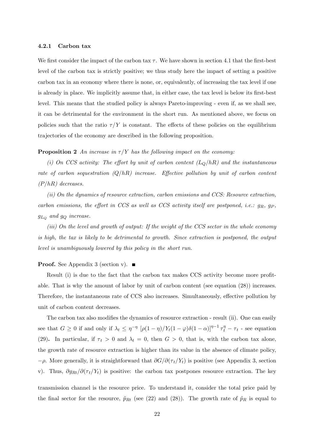#### 4.2.1 Carbon tax

We first consider the impact of the carbon tax  $\tau$ . We have shown in section 4.1 that the first-best level of the carbon tax is strictly positive; we thus study here the impact of setting a positive carbon tax in an economy where there is none, or, equivalently, of increasing the tax level if one is already in place. We implicitly assume that, in either case, the tax level is below its first-best level. This means that the studied policy is always Pareto-improving - even if, as we shall see, it can be detrimental for the environment in the short run. As mentioned above, we focus on policies such that the ratio  $\tau/Y$  is constant. The effects of these policies on the equilibrium trajectories of the economy are described in the following proposition.

## **Proposition 2** An increase in  $\tau/Y$  has the following impact on the economy:

(i) On CCS activity: The effort by unit of carbon content  $(L_Q/hR)$  and the instantaneous rate of carbon sequestration  $(Q/hR)$  increase. Effective pollution by unit of carbon content  $(P/hR)$  decreases.

(ii) On the dynamics of resource extraction, carbon emissions and CCS: Resource extraction, carbon emissions, the effort in CCS as well as CCS activity itself are postponed, i.e.:  $g_R$ ,  $g_P$ ,  $g_{L_Q}$  and  $g_Q$  increase.

(iii) On the level and growth of output: If the weight of the CCS sector in the whole economy is high, the tax is likely to be detrimental to growth. Since extraction is postponed, the output level is unambiguously lowered by this policy in the short run.

## **Proof.** See Appendix 3 (section v).  $\blacksquare$

Result  $(i)$  is due to the fact that the carbon tax makes CCS activity become more profitable. That is why the amount of labor by unit of carbon content (see equation (28)) increases. Therefore, the instantaneous rate of CCS also increases. Simultaneously, effective pollution by unit of carbon content decreases.

The carbon tax also modifies the dynamics of resource extraction - result (ii). One can easily see that  $G \ge 0$  if and only if  $\lambda_t \le \eta^{-\eta} \left[ \rho(1-\eta)/Y_t(1-\varphi)\delta(1-\alpha) \right]^{1-\eta-1} \tau_t^{\eta} - \tau_t$  - see equation (29). In particular, if  $\tau_t > 0$  and  $\lambda_t = 0$ , then  $G > 0$ , that is, with the carbon tax alone, the growth rate of resource extraction is higher than its value in the absence of climate policy,  $-\rho$ . More generally, it is straightforward that  $\partial G/\partial(\tau_t/Y_t)$  is positive (see Appendix 3, section v). Thus,  $\partial g_{Rt}/\partial (\tau_t/Y_t)$  is positive: the carbon tax postpones resource extraction. The key

transmission channel is the resource price. To understand it, consider the total price paid by the final sector for the resource,  $\tilde{p}_{Rt}$  (see (22) and (28)). The growth rate of  $\tilde{p}_R$  is equal to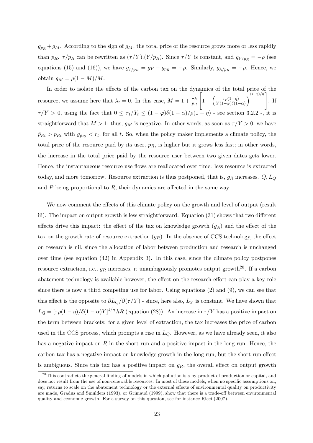$g_{pR} + g_M$ . According to the sign of  $g_M$ , the total price of the resource grows more or less rapidly than  $p_R$ .  $\tau/p_R$  can be rewritten as  $(\tau/Y).(Y/p_R)$ . Since  $\tau/Y$  is constant, and  $g_{Y/p_R} = -\rho$  (see equations (15) and (16)), we have  $g_{\tau/p_R} = g_Y - g_{p_R} = -\rho$ . Similarly,  $g_{\lambda/p_R} = -\rho$ . Hence, we obtain  $g_M = \rho(1 - M)/M$ .

In order to isolate the effects of the carbon tax on the dynamics of the total price of the resource, we assume here that  $\lambda_t = 0$ . In this case,  $M = 1 + \frac{\tau h}{p_R}$  $\sqrt{ }$  $1 - \left( \frac{\tau \rho (1-\eta)}{Y(1-\varphi) \delta(1-\varphi)} \right)$  $Y(1-\varphi)\delta(1-\alpha)$  $\left\{ \frac{(1-\eta)/\eta}{\eta} \right\}$ . If  $\tau/Y > 0$ , using the fact that  $0 \leq \tau_t/Y_t \leq (1 - \varphi)\delta(1 - \alpha)/\rho(1 - \eta)$  - see section 3.2.2 -, it is straightforward that  $M > 1$ ; thus,  $g_M$  is negative. In other words, as soon as  $\tau/Y > 0$ , we have  $\tilde{p}_{Rt} > p_{Rt}$  with  $g_{\tilde{p}_{Rt}} < r_t$ , for all t. So, when the policy maker implements a climate policy, the total price of the resource paid by its user,  $\tilde{p}_R$ , is higher but it grows less fast; in other words, the increase in the total price paid by the resource user between two given dates gets lower. Hence, the instantaneous resource use flows are reallocated over time: less resource is extracted today, and more tomorrow. Resource extraction is thus postponed, that is,  $g_R$  increases.  $Q, L_Q$ and  $P$  being proportional to  $R$ , their dynamics are affected in the same way.

We now comment the effects of this climate policy on the growth and level of output (result iii). The impact on output growth is less straightforward. Equation  $(31)$  shows that two different effects drive this impact: the effect of the tax on knowledge growth  $(g_A)$  and the effect of the tax on the growth rate of resource extraction  $(g_R)$ . In the absence of CCS technology, the effect on research is nil, since the allocation of labor between production and research is unchanged over time (see equation (42) in Appendix 3). In this case, since the climate policy postpones resource extraction, i.e.,  $g_R$  increases, it unambiguously promotes output growth<sup>20</sup>. If a carbon abatement technology is available however, the effect on the research effort can play a key role since there is now a third competing use for labor. Using equations (2) and (9), we can see that this effect is the opposite to  $\partial L_Q/\partial(\tau/Y)$  - since, here also,  $L_Y$  is constant. We have shown that  $L_Q = [\tau \rho (1 - \eta) / \delta (1 - \alpha) Y]^{1/\eta} hR$  (equation (28)). An increase in  $\tau/Y$  has a positive impact on the term between brackets: for a given level of extraction, the tax increases the price of carbon used in the CCS process, which prompts a rise in  $L<sub>Q</sub>$ . However, as we have already seen, it also has a negative impact on  $R$  in the short run and a positive impact in the long run. Hence, the carbon tax has a negative impact on knowledge growth in the long run, but the short-run effect is ambiguous. Since this tax has a positive impact on  $g_R$ , the overall effect on output growth

 $^{20}$ This contradicts the general finding of models in which pollution is a by-product of production or capital, and does not result from the use of non-renewable resources. In most of these models, when no specific assumptions on, say, returns to scale on the abatement technology or the external effects of environmental quality on productivity are made, Gradus and Smulders (1993), or Grimaud (1999), show that there is a trade-off between environmental quality and economic growth. For a survey on this question, see for instance Ricci (2007).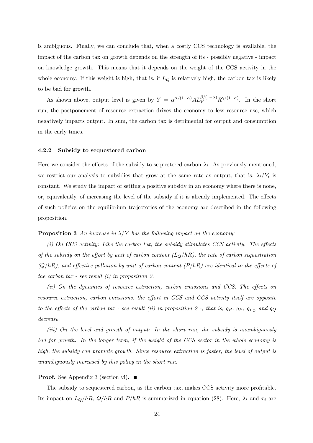is ambiguous. Finally, we can conclude that, when a costly CCS technology is available, the impact of the carbon tax on growth depends on the strength of its - possibly negative - impact on knowledge growth. This means that it depends on the weight of the CCS activity in the whole economy. If this weight is high, that is, if  $L_Q$  is relatively high, the carbon tax is likely to be bad for growth.

As shown above, output level is given by  $Y = \alpha^{\alpha/(1-\alpha)} A L_Y^{\beta/(1-\alpha)} R^{\gamma/(1-\alpha)}$ . In the short run, the postponement of resource extraction drives the economy to less resource use, which negatively impacts output. In sum, the carbon tax is detrimental for output and consumption in the early times.

#### 4.2.2 Subsidy to sequestered carbon

Here we consider the effects of the subsidy to sequestered carbon  $\lambda_t$ . As previously mentioned, we restrict our analysis to subsidies that grow at the same rate as output, that is,  $\lambda_t/Y_t$  is constant. We study the impact of setting a positive subsidy in an economy where there is none, or, equivalently, of increasing the level of the subsidy if it is already implemented. The effects of such policies on the equilibrium trajectories of the economy are described in the following proposition.

## **Proposition 3** An increase in  $\lambda$ /Y has the following impact on the economy:

 $(i)$  On CCS activity: Like the carbon tax, the subsidy stimulates CCS activity. The effects of the subsidy on the effort by unit of carbon content  $(L_Q/hR)$ , the rate of carbon sequestration  $(Q/hR)$ , and effective pollution by unit of carbon content  $(P/hR)$  are identical to the effects of the carbon tax - see result  $(i)$  in proposition 2.

 $(ii)$  On the dynamics of resource extraction, carbon emissions and CCS: The effects on resource extraction, carbon emissions, the effort in  $CCS$  and  $CCS$  activity itself are opposite to the effects of the carbon tax - see result (ii) in proposition 2 -, that is,  $g_R$ ,  $g_P$ ,  $g_{L_Q}$  and  $g_Q$ decrease.

(iii) On the level and growth of output: In the short run, the subsidy is unambiguously bad for growth. In the longer term, if the weight of the CCS sector in the whole economy is high, the subsidy can promote growth. Since resource extraction is faster, the level of output is unambiguously increased by this policy in the short run.

## **Proof.** See Appendix 3 (section vi).  $\blacksquare$

The subsidy to sequestered carbon, as the carbon tax, makes CCS activity more profitable. Its impact on  $L_Q/hR$ ,  $Q/hR$  and  $P/hR$  is summarized in equation (28). Here,  $\lambda_t$  and  $\tau_t$  are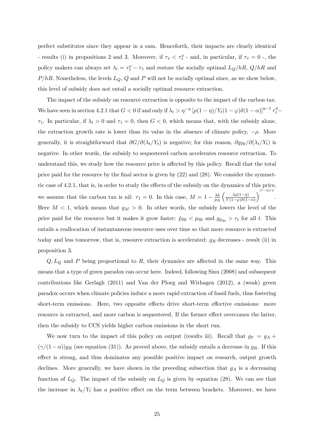perfect substitutes since they appear in a sum. Henceforth, their impacts are clearly identical - results (i) in propositions 2 and 3. Moreover, if  $\tau_t < \tau_t^o$  - and, in particular, if  $\tau_t = 0$  -, the policy makers can always set  $\lambda_t = \tau_t^o - \tau_t$  and restore the socially optimal  $L_Q/hR$ ,  $Q/hR$  and  $P/hR$ . Nonetheless, the levels  $L_Q$ , Q and P will not be socially optimal since, as we show below, this level of subsidy does not entail a socially optimal resource extraction.

The impact of the subsidy on resource extraction is opposite to the impact of the carbon tax. We have seen in section 4.2.1 that  $G < 0$  if and only if  $\lambda_t > \eta^{-\eta} \left[ \rho (1 - \eta) / Y_t(1 - \varphi) \delta (1 - \alpha) \right]^{\eta - 1} \tau_t^{\eta}$  $\tau_t$ . In particular, if  $\lambda_t > 0$  and  $\tau_t = 0$ , then  $G < 0$ , which means that, with the subsidy alone, the extraction growth rate is lower than its value in the absence of climate policy,  $-\rho$ . More generally, it is straightforward that  $\partial G/\partial(\lambda_t/Y_t)$  is negative; for this reason,  $\partial g_{Rt}/\partial(\lambda_t/Y_t)$  is negative. In other words, the subsidy to sequestered carbon accelerates resource extraction. To understand this, we study how the resource price is affected by this policy. Recall that the total price paid for the resource by the final sector is given by  $(22)$  and  $(28)$ . We consider the symmetric case of 4.2.1, that is, in order to study the effects of the subsidy on the dynamics of this price, we assume that the carbon tax is nil:  $\tau_t = 0$ . In this case,  $M = 1 - \frac{\lambda h}{p_R}$ p<sup>R</sup>  $\left(\frac{\lambda \rho(1-\eta)}{\sigma\sqrt{1-\lambda^2}}\right)$  $Y(1-\varphi)\delta(1-\alpha)$  $\setminus$  $(1-\eta)/\eta$ . Here  $M < 1$ , which means that  $g_M > 0$ . In other words, the subsidy lowers the level of the price paid for the resource but it makes it grow faster:  $\tilde{p}_{Rt} < p_{Rt}$  and  $g_{\tilde{p}_{Rt}} > r_t$  for all t. This entails a reallocation of instantaneous resource uses over time so that more resource is extracted today and less tomorrow, that is, resource extraction is accelerated:  $g_R$  decreases - result (ii) in proposition 3.

 $Q, L<sub>Q</sub>$  and P being proportional to R, their dynamics are affected in the same way. This means that a type of green paradox can occur here. Indeed, following Sinn (2008) and subsequent contributions like Gerlagh (2011) and Van der Ploeg and Withagen (2012), a (weak) green paradox occurs when climate policies induce a more rapid extraction of fossil fuels, thus fostering short-term emissions. Here, two opposite effects drive short-term effective emissions: more resource is extracted, and more carbon is sequestered. If the former effect overcomes the latter, then the subsidy to CCS yields higher carbon emissions in the short run.

We now turn to the impact of this policy on output (results iii). Recall that  $g_Y = g_A +$  $(\gamma/(1-\alpha))g_R$  (see equation (31)). As proved above, the subsidy entails a decrease in  $g_R$ . If this effect is strong, and thus dominates any possible positive impact on research, output growth declines. More generally, we have shown in the preceding subsection that  $g_A$  is a decreasing function of  $L_Q$ . The impact of the subsidy on  $L_Q$  is given by equation (28). We can see that the increase in  $\lambda_t/Y_t$  has a positive effect on the term between brackets. Moreover, we have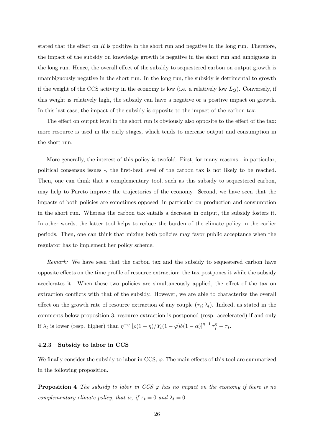stated that the effect on  $R$  is positive in the short run and negative in the long run. Therefore, the impact of the subsidy on knowledge growth is negative in the short run and ambiguous in the long run. Hence, the overall effect of the subsidy to sequestered carbon on output growth is unambiguously negative in the short run. In the long run, the subsidy is detrimental to growth if the weight of the CCS activity in the economy is low (i.e. a relatively low  $L<sub>O</sub>$ ). Conversely, if this weight is relatively high, the subsidy can have a negative or a positive impact on growth. In this last case, the impact of the subsidy is opposite to the impact of the carbon tax.

The effect on output level in the short run is obviously also opposite to the effect of the tax: more resource is used in the early stages, which tends to increase output and consumption in the short run.

More generally, the interest of this policy is twofold. First, for many reasons - in particular, political consensus issues -, the Örst-best level of the carbon tax is not likely to be reached. Then, one can think that a complementary tool, such as this subsidy to sequestered carbon, may help to Pareto improve the trajectories of the economy. Second, we have seen that the impacts of both policies are sometimes opposed, in particular on production and consumption in the short run. Whereas the carbon tax entails a decrease in output, the subsidy fosters it. In other words, the latter tool helps to reduce the burden of the climate policy in the earlier periods. Then, one can think that mixing both policies may favor public acceptance when the regulator has to implement her policy scheme.

Remark: We have seen that the carbon tax and the subsidy to sequestered carbon have opposite effects on the time profile of resource extraction: the tax postpones it while the subsidy accelerates it. When these two policies are simultaneously applied, the effect of the tax on extraction conflicts with that of the subsidy. However, we are able to characterize the overall effect on the growth rate of resource extraction of any couple  $(\tau_t; \lambda_t)$ . Indeed, as stated in the comments below proposition 3, resource extraction is postponed (resp. accelerated) if and only if  $\lambda_t$  is lower (resp. higher) than  $\eta^{-\eta}$   $[\rho(1-\eta)/Y_t(1-\varphi)\delta(1-\alpha)]^{\eta-1} \tau_t^{\eta} - \tau_t$ .

## 4.2.3 Subsidy to labor in CCS

We finally consider the subsidy to labor in CCS,  $\varphi$ . The main effects of this tool are summarized in the following proposition.

**Proposition 4** The subsidy to labor in CCS  $\varphi$  has no impact on the economy if there is no complementary climate policy, that is, if  $\tau_t = 0$  and  $\lambda_t = 0$ .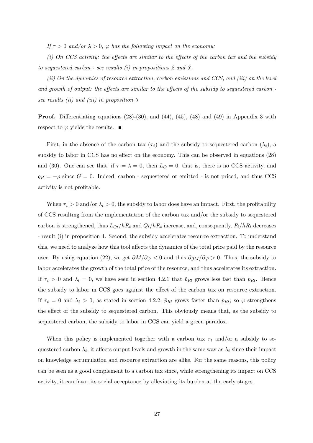If  $\tau > 0$  and/or  $\lambda > 0$ ,  $\varphi$  has the following impact on the economy:

(i) On CCS activity: the effects are similar to the effects of the carbon tax and the subsidy to sequestered carbon - see results (i) in propositions 2 and 3.

(ii) On the dynamics of resource extraction, carbon emissions and CCS, and (iii) on the level and growth of output: the effects are similar to the effects of the subsidy to sequestered carbon see results *(ii)* and *(iii)* in proposition 3.

**Proof.** Differentiating equations  $(28)-(30)$ , and  $(44)$ ,  $(45)$ ,  $(48)$  and  $(49)$  in Appendix 3 with respect to  $\varphi$  yields the results.  $\blacksquare$ 

First, in the absence of the carbon tax  $(\tau_t)$  and the subsidy to sequestered carbon  $(\lambda_t)$ , a subsidy to labor in CCS has no effect on the economy. This can be observed in equations (28) and (30). One can see that, if  $\tau = \lambda = 0$ , then  $L_Q = 0$ , that is, there is no CCS activity, and  $g_R = -\rho$  since  $G = 0$ . Indeed, carbon - sequestered or emitted - is not priced, and thus CCS activity is not profitable.

When  $\tau_t > 0$  and/or  $\lambda_t > 0$ , the subsidy to labor does have an impact. First, the profitability of CCS resulting from the implementation of the carbon tax and/or the subsidy to sequestered carbon is strengthened, thus  $L_{Qt}/hR_t$  and  $Q_t/hR_t$  increase, and, consequently,  $P_t/hR_t$  decreases - result (i) in proposition 4. Second, the subsidy accelerates resource extraction. To understand this, we need to analyze how this tool affects the dynamics of the total price paid by the resource user. By using equation (22), we get  $\partial M/\partial \varphi < 0$  and thus  $\partial g_M/\partial \varphi > 0$ . Thus, the subsidy to labor accelerates the growth of the total price of the resource, and thus accelerates its extraction. If  $\tau_t > 0$  and  $\lambda_t = 0$ , we have seen in section 4.2.1 that  $\tilde{p}_{Rt}$  grows less fast than  $p_{Rt}$ . Hence the subsidy to labor in CCS goes against the effect of the carbon tax on resource extraction. If  $\tau_t = 0$  and  $\lambda_t > 0$ , as stated in section 4.2.2,  $\tilde{p}_{Rt}$  grows faster than  $p_{Rt}$ ; so  $\varphi$  strengthens the effect of the subsidy to sequestered carbon. This obviously means that, as the subsidy to sequestered carbon, the subsidy to labor in CCS can yield a green paradox.

When this policy is implemented together with a carbon tax  $\tau_t$  and/or a subsidy to sequestered carbon  $\lambda_t$ , it affects output levels and growth in the same way as  $\lambda_t$  since their impact on knowledge accumulation and resource extraction are alike. For the same reasons, this policy can be seen as a good complement to a carbon tax since, while strengthening its impact on CCS activity, it can favor its social acceptance by alleviating its burden at the early stages.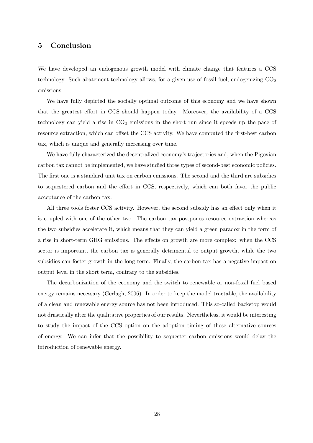## 5 Conclusion

We have developed an endogenous growth model with climate change that features a CCS technology. Such abatement technology allows, for a given use of fossil fuel, endogenizing  $CO<sub>2</sub>$ emissions.

We have fully depicted the socially optimal outcome of this economy and we have shown that the greatest effort in CCS should happen today. Moreover, the availability of a CCS technology can yield a rise in  $CO<sub>2</sub>$  emissions in the short run since it speeds up the pace of resource extraction, which can offset the CCS activity. We have computed the first-best carbon tax, which is unique and generally increasing over time.

We have fully characterized the decentralized economy's trajectories and, when the Pigovian carbon tax cannot be implemented, we have studied three types of second-best economic policies. The first one is a standard unit tax on carbon emissions. The second and the third are subsidies to sequestered carbon and the effort in CCS, respectively, which can both favor the public acceptance of the carbon tax.

All three tools foster CCS activity. However, the second subsidy has an effect only when it is coupled with one of the other two. The carbon tax postpones resource extraction whereas the two subsidies accelerate it, which means that they can yield a green paradox in the form of a rise in short-term GHG emissions. The effects on growth are more complex: when the CCS sector is important, the carbon tax is generally detrimental to output growth, while the two subsidies can foster growth in the long term. Finally, the carbon tax has a negative impact on output level in the short term, contrary to the subsidies.

The decarbonization of the economy and the switch to renewable or non-fossil fuel based energy remains necessary (Gerlagh, 2006). In order to keep the model tractable, the availability of a clean and renewable energy source has not been introduced. This so-called backstop would not drastically alter the qualitative properties of our results. Nevertheless, it would be interesting to study the impact of the CCS option on the adoption timing of these alternative sources of energy. We can infer that the possibility to sequester carbon emissions would delay the introduction of renewable energy.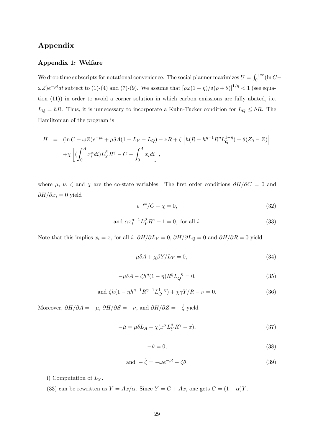## Appendix

## Appendix 1: Welfare

We drop time subscripts for notational convenience. The social planner maximizes  $U = \int_0^{+\infty} (\ln C \omega Z$ ) $e^{-\rho t}dt$  subject to (1)-(4) and (7)-(9). We assume that  $[\rho\omega(1-\eta)/\delta(\rho+\theta)]^{1/\eta} < 1$  (see equation (11)) in order to avoid a corner solution in which carbon emissions are fully abated, i.e.  $L_Q = hR$ . Thus, it is unnecessary to incorporate a Kuhn-Tucker condition for  $L_Q \le hR$ . The Hamiltonian of the program is

$$
H = (\ln C - \omega Z)e^{-\rho t} + \mu \delta A (1 - L_Y - L_Q) - \nu R + \zeta \left[ h(R - h^{\eta - 1} R^{\eta} L_Q^{1 - \eta}) + \theta (Z_0 - Z) \right] + \chi \left[ (\int_0^A x_i^{\alpha} di) L_Y^{\beta} R^{\gamma} - C - \int_0^A x_i di \right],
$$

where  $\mu$ ,  $\nu$ ,  $\zeta$  and  $\chi$  are the co-state variables. The first order conditions  $\partial H/\partial C = 0$  and  $\partial H/\partial x_i = 0$  yield

$$
e^{-\rho t}/C - \chi = 0,\t\t(32)
$$

and 
$$
\alpha x_i^{\alpha - 1} L_Y^{\beta} R^{\gamma} - 1 = 0
$$
, for all *i*. 
$$
(33)
$$

Note that this implies  $x_i = x$ , for all i.  $\partial H/\partial L_Y = 0$ ,  $\partial H/\partial L_Q = 0$  and  $\partial H/\partial R = 0$  yield

$$
-\mu\delta A + \chi\beta Y/L_Y = 0,\t\t(34)
$$

$$
-\mu \delta A - \zeta h^{\eta} (1 - \eta) R^{\eta} L_Q^{-\eta} = 0,
$$
\n(35)

and 
$$
\zeta h(1 - \eta h^{\eta - 1} R^{\eta - 1} L_Q^{1 - \eta}) + \chi \gamma Y / R - \nu = 0.
$$
 (36)

Moreover,  $\partial H/\partial A = -\mu$ ,  $\partial H/\partial S = -\nu$ , and  $\partial H/\partial Z = -\dot{\zeta}$  yield

$$
-\dot{\mu} = \mu \delta L_A + \chi (x^{\alpha} L_Y^{\beta} R^{\gamma} - x), \tag{37}
$$

$$
-\dot{\nu} = 0,\t\t(38)
$$

and 
$$
-\dot{\zeta} = -\omega e^{-\rho t} - \zeta \theta.
$$
 (39)

i) Computation of  $L<sub>Y</sub>$ .

(33) can be rewritten as  $Y = Ax/\alpha$ . Since  $Y = C + Ax$ , one gets  $C = (1 - \alpha)Y$ .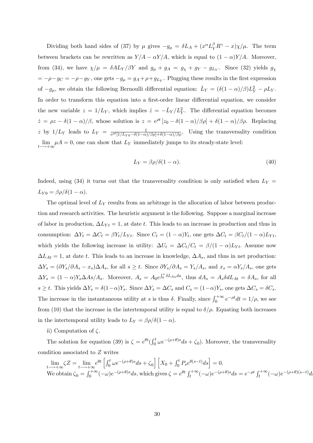Dividing both hand sides of (37) by  $\mu$  gives  $-g_{\mu} = \delta L_A + (x^{\alpha} L_Y^{\beta} R^{\gamma} - x) \chi/\mu$ . The term between brackets can be rewritten as  $Y/A - \alpha Y/A$ , which is equal to  $(1 - \alpha)Y/A$ . Moreover, from (34), we have  $\chi/\mu = \delta A L_Y/\beta Y$  and  $g_{\mu} + g_A = g_{\chi} + g_Y - g_{L_Y}$ . Since (32) yields  $g_{\chi}$  $= -\rho - g_C = -\rho - g_Y$ , one gets  $-g_\mu = g_A + \rho + g_{L_Y}$ . Plugging these results in the first expression of  $-g_\mu$ , we obtain the following Bernoulli differential equation:  $\dot{L}_Y = (\delta(1-\alpha)/\beta)L_Y^2 - \rho L_Y$ . In order to transform this equation into a first-order linear differential equation, we consider the new variable  $z = 1/L_Y$ , which implies  $\dot{z} = -\dot{L}_Y/L_Y^2$ . The differential equation becomes  $\dot{z} = \rho z - \delta (1 - \alpha) / \beta$ , whose solution is  $z = e^{\rho t} [z_0 - \delta (1 - \alpha) / \beta \rho] + \delta (1 - \alpha) / \beta \rho$ . Replacing z by  $1/L_Y$  leads to  $L_Y = \frac{1}{e^{\rho t} \left[1/L_{Y0} - \delta(1-\alpha)\right]}$  $\frac{1}{e^{\rho t}[1/L_{Y0}-\delta(1-\alpha)/\beta\rho]+\delta(1-\alpha)/\beta\rho}$ . Using the transversality condition lim  $\lim_{t \to +\infty} \mu A = 0$ , one can show that  $L_Y$  immediately jumps to its steady-state level:

$$
L_Y = \beta \rho / \delta (1 - \alpha). \tag{40}
$$

Indeed, using (34) it turns out that the transversality condition is only satisfied when  $L_Y =$  $L_{Y0} = \beta \rho / \delta(1 - \alpha).$ 

The optimal level of  $L<sub>Y</sub>$  results from an arbitrage in the allocation of labor between production and research activities. The heuristic argument is the following. Suppose a marginal increase of labor in production,  $\Delta L_{Y_t} = 1$ , at date t. This leads to an increase in production and thus in consumption:  $\Delta Y_t = \Delta C_t = \beta Y_t / L_{Yt}$ . Since  $C_t = (1 - \alpha)Y_t$ , one gets  $\Delta C_t = \beta C_t / (1 - \alpha) L_{Yt}$ , which yields the following increase in utility:  $\Delta U_t = \Delta C_t / C_t = \beta / (1 - \alpha) L_{Yt}$ . Assume now  $\Delta L_{At} = 1$ , at date t. This leads to an increase in knowledge,  $\Delta A_s$ , and thus in net production:  $\Delta Y_s = (\partial Y_s/\partial A_s - x_s)\Delta A_s$ , for all  $s \geq t$ . Since  $\partial Y_s/\partial A_s = Y_s/A_s$ , and  $x_s = \alpha Y_s/A_s$ , one gets  $\Delta Y_s = (1 - \alpha) Y_s \Delta A s / A_s$ . Moreover,  $A_s = A_0 e^{\int_0^s \delta L_{Au} du}$ , thus  $dA_s = A_s \delta dL_{At} = \delta A_s$ , for all  $s \geq t$ . This yields  $\Delta Y_s = \delta(1-\alpha)Y_s$ . Since  $\Delta Y_s = \Delta C_s$  and  $C_s = (1-\alpha)Y_s$ , one gets  $\Delta C_s = \delta C_s$ . The increase in the instantaneous utility at s is thus  $\delta$ . Finally, since  $\int_0^{+\infty} e^{-pt} dt = 1/\rho$ , we see from (10) that the increase in the intertemporal utility is equal to  $\delta/\rho$ . Equating both increases in the intertemporal utility leads to  $L_Y = \beta \rho / \delta(1 - \alpha)$ .

ii) Computation of  $\zeta$ .

The solution for equation (39) is  $\zeta = e^{\theta t} \left( \int_0^t \omega e^{-(\rho+\theta)s} ds + \zeta_0 \right)$ . Moreover, the transversality condition associated to Z writes

$$
\lim_{t \to +\infty} \zeta Z = \lim_{t \to +\infty} e^{\theta t} \left[ \int_0^t \omega e^{-(\rho+\theta)s} ds + \zeta_0 \right] \left[ X_0 + \int_0^t P_s e^{\theta(s-t)} ds \right] = 0.
$$
\nWe obtain

\n
$$
\zeta_0 = \int_0^{+\infty} (-\omega) e^{-(\rho+\theta)s} ds
$$
\nwhich gives

\n
$$
\zeta = e^{\theta t} \int_t^{+\infty} (-\omega) e^{-(\rho+\theta)s} ds = e^{-\rho t} \int_t^{+\infty} (-\omega) e^{-(\rho+\theta)(s-t)} ds
$$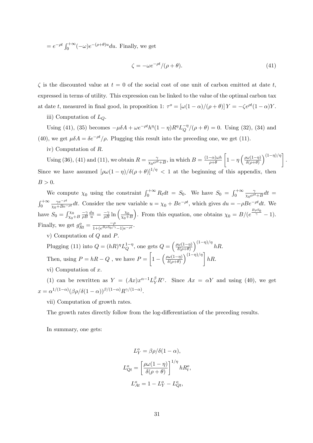$= e^{-\rho t} \int_0^{+\infty} (-\omega) e^{-(\rho+\theta)u} du$ . Finally, we get

$$
\zeta = -\omega e^{-\rho t} / (\rho + \theta). \tag{41}
$$

 $\zeta$  is the discounted value at  $t = 0$  of the social cost of one unit of carbon emitted at date t, expressed in terms of utility. This expression can be linked to the value of the optimal carbon tax at date t, measured in final good, in proposition 1:  $\tau^o = [\omega(1-\alpha)/(\rho+\theta)]Y = -\zeta e^{\rho t}(1-\alpha)Y$ .

iii) Computation of  $L_Q$ .

Using (41), (35) becomes  $-\mu \delta A + \omega e^{-\rho t} h^{\eta} (1 - \eta) R^{\eta} L_Q^{-\eta} / (\rho + \theta) = 0$ . Using (32), (34) and (40), we get  $\mu \delta A = \delta e^{-\rho t}/\rho$ . Plugging this result into the preceding one, we get (11).

iv) Computation of R.

Using (36), (41) and (11), we obtain  $R = \frac{2}{\sqrt{e^{\rho}}}$  $\frac{\gamma}{\chi_0 e^{\rho t} + B}$ , in which  $B = \frac{(1-\alpha)\omega h}{\rho + \theta}$  $\sqrt{ }$  $1 - \eta \left( \frac{\rho \omega (1-\eta)}{\delta (\rho + \theta)} \right)$  $\left( \frac{(1-\eta)/\eta}{\eta} \right]$ . Since we have assumed  $[\rho\omega(1-\eta)/\delta(\rho+\theta)]^{1/\eta} < 1$  at the beginning of this appendix, then  $B > 0$ .

We compute  $\chi_0$  using the constraint  $\int_0^{+\infty} R_t dt = S_0$ . We have  $S_0 = \int_0^{+\infty}$  $\overline{\phantom{0}}$  $\frac{\gamma}{\chi_0 e^{\rho t}+B}dt =$  $\int_0^{+\infty}$  $\frac{\gamma e^{-\rho t}}{\chi_0 + Be^{-\rho t}} dt$ . Consider the new variable  $u = \chi_0 + Be^{-\rho t}$ , which gives  $du = -\rho Be^{-\rho t} dt$ . We have  $S_0 = \int_{\chi_0+B}^{\chi_0} \frac{-\gamma}{\rho B}$  $\frac{du}{u} = \frac{-\gamma}{\rho B} \ln \left( \frac{\chi_0}{\chi_0 + \chi_0} \right)$  $x_0+B$ ). From this equation, one obtains  $\chi_0 = B/(e^{\frac{B\rho S_0}{\gamma}} - 1)$ . Finally, we get  $g_{Rt}^o = \frac{-\rho}{1 + (e^{B\rho S_0/\gamma} - 1)e^{-\rho t}}$ .

v) Computation of Q and P.

Plugging (11) into  $Q = (hR)^{\eta} L_Q^{1-\eta}$ , one gets  $Q = \left(\frac{\rho \omega(1-\eta)}{\delta(\rho+\theta)}\right)$  $\int^{(1-\eta)/\eta} hR$ . Then, using  $P = hR - Q$ , we have  $P =$  $\sqrt{ }$  $1 - \left(\frac{\rho \omega (1-\eta)}{\delta (\rho+\theta)}\right)$  $\left[\begin{array}{c} (1-\eta)/\eta \\ hR \end{array}\right]$ vi) Computation of x.

(1) can be rewritten as  $Y = (Ax)x^{\alpha-1}L_Y^{\beta}R^{\gamma}$ . Since  $Ax = \alpha Y$  and using (40), we get  $x = \alpha^{1/(1-\alpha)} (\beta \rho / \delta(1-\alpha))^{\beta/(1-\alpha)} R^{\gamma/(1-\alpha)}.$ 

vii) Computation of growth rates.

The growth rates directly follow from the log-differentiation of the preceding results.

In summary, one gets:

$$
L_Y^o = \beta \rho / \delta (1 - \alpha),
$$
  
\n
$$
L_{Qt}^o = \left[ \frac{\rho \omega (1 - \eta)}{\delta (\rho + \theta)} \right]^{1/\eta} h R_t^o,
$$
  
\n
$$
L_{At}^o = 1 - L_Y^o - L_{Qt}^o,
$$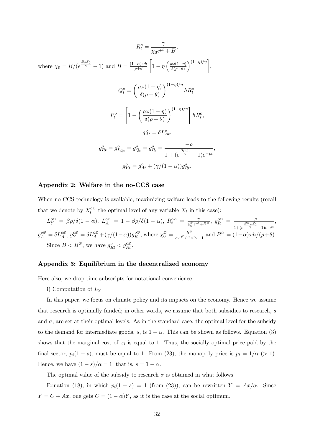$$
R_t^o = \frac{\gamma}{\chi_0 e^{\rho t} + B},
$$
  
\nwhere  $\chi_0 = B/(e^{\frac{B\rho S_0}{\gamma}} - 1)$  and  $B = \frac{(1-\alpha)\omega h}{\rho + \theta} \left[1 - \eta \left(\frac{\rho \omega(1-\eta)}{\delta(\rho+\theta)}\right)^{(1-\eta)/\eta}\right],$   
\n
$$
Q_t^o = \left(\frac{\rho \omega(1-\eta)}{\delta(\rho+\theta)}\right)^{(1-\eta)/\eta} h R_t^o,
$$
  
\n
$$
P_t^o = \left[1 - \left(\frac{\rho \omega(1-\eta)}{\delta(\rho+\theta)}\right)^{(1-\eta)/\eta}\right] h R_t^o,
$$
  
\n
$$
g_{At}^o = \delta L_{At}^o,
$$
  
\n
$$
g_{Rt}^o = g_{L_{Qt}}^o = g_{Q_t}^o = g_{P_t}^o = \frac{-\rho}{1 + (e^{\frac{B\rho S_0}{\gamma}} - 1)e^{-\rho t}},
$$
  
\n
$$
g_{Yt}^o = g_{At}^o + (\gamma/(1-\alpha))g_{Rt}^o.
$$

## Appendix 2: Welfare in the no-CCS case

When no CCS technology is available, maximizing welfare leads to the following results (recall that we denote by  $X_t^{\circ\varnothing}$  the optimal level of any variable  $X_t$  in this case):

$$
L_Y^{\phi\emptyset} = \beta \rho/\delta(1-\alpha), \ L_A^{\phi\emptyset} = 1 - \beta \rho/\delta(1-\alpha), \ R_t^{\phi\emptyset} = \frac{\gamma}{\chi_0^{\phi} e^{\rho t} + B^{\phi}}, \ g_R^{\phi\emptyset} = \frac{-\rho}{1 + (e^{\frac{B^{\emptyset} \rho S_0}{\gamma}} - 1)e^{-\rho t}},
$$
  

$$
g_A^{\phi\emptyset} = \delta L_A^{\phi\emptyset}, g_Y^{\phi\emptyset} = \delta L_A^{\phi\emptyset} + (\gamma/(1-\alpha))g_R^{\phi\emptyset}, \text{ where } \chi_0^{\emptyset} = \frac{B^{\emptyset}}{e^{(B^{\emptyset} \rho S_0/\gamma)} - 1} \text{ and } B^{\emptyset} = (1-\alpha)\omega h/(\rho + \theta).
$$
  
Since  $B < B^{\emptyset}$ , we have  $g_{Rt}^{\phi} < g_{Rt}^{\phi\emptyset}$ .

## Appendix 3: Equilibrium in the decentralized economy

Here also, we drop time subscripts for notational convenience.

## i) Computation of  $L<sub>Y</sub>$

In this paper, we focus on climate policy and its impacts on the economy. Hence we assume that research is optimally funded; in other words, we assume that both subsidies to research, s and  $\sigma$ , are set at their optimal levels. As in the standard case, the optimal level for the subsidy to the demand for intermediate goods, s, is  $1 - \alpha$ . This can be shown as follows. Equation (3) shows that the marginal cost of  $x_i$  is equal to 1. Thus, the socially optimal price paid by the final sector,  $p_i(1 - s)$ , must be equal to 1. From (23), the monopoly price is  $p_i = 1/\alpha$  (> 1). Hence, we have  $(1 - s)/\alpha = 1$ , that is,  $s = 1 - \alpha$ .

The optimal value of the subsidy to research  $\sigma$  is obtained in what follows.

Equation (18), in which  $p_i(1-s) = 1$  (from (23)), can be rewritten  $Y = Ax/\alpha$ . Since  $Y = C + Ax$ , one gets  $C = (1 - \alpha)Y$ , as it is the case at the social optimum.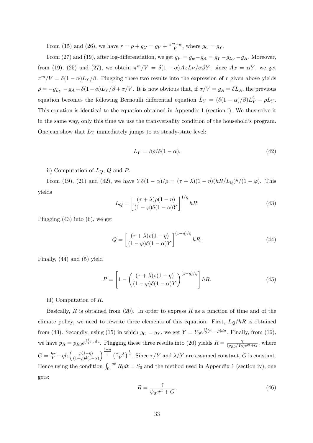From (15) and (26), we have  $r = \rho + g_C = g_V + \frac{\pi^m + \sigma}{V}$  $\frac{w+\sigma}{V}$ , where  $g_C = g_Y$ .

From (27) and (19), after log-differentiation, we get  $g_V = g_w - g_A = g_Y - g_{L_Y} - g_A$ . Moreover, from (19), (25) and (27), we obtain  $\pi^m/V = \delta(1-\alpha)AxL_Y/\alpha\beta Y$ ; since  $Ax = \alpha Y$ , we get  $\pi^m/V = \delta(1 - \alpha)L_Y/\beta$ . Plugging these two results into the expression of r given above yields  $\rho = -g_{Ly} - g_A + \delta (1 - \alpha)L_Y/\beta + \sigma/V$ . It is now obvious that, if  $\sigma/V = g_A = \delta L_A$ , the previous equation becomes the following Bernoulli differential equation  $\dot{L}_Y = (\delta(1 - \alpha)/\beta)L_Y^2 - \rho L_Y$ . This equation is identical to the equation obtained in Appendix 1 (section i). We thus solve it in the same way, only this time we use the transversality condition of the household's program. One can show that  $L_Y$  immediately jumps to its steady-state level:

$$
L_Y = \beta \rho / \delta (1 - \alpha). \tag{42}
$$

ii) Computation of  $L_Q$ ,  $Q$  and  $P$ .

From (19), (21) and (42), we have  $Y\delta(1-\alpha)/\rho = (\tau + \lambda)(1-\eta)(hR/L_Q)^{\eta}/(1-\varphi)$ . This yields

$$
L_Q = \left[\frac{(\tau + \lambda)\rho(1 - \eta)}{(1 - \varphi)\delta(1 - \alpha)Y}\right]^{1/\eta} hR.
$$
\n(43)

Plugging (43) into (6), we get

$$
Q = \left[\frac{(\tau + \lambda)\rho(1 - \eta)}{(1 - \varphi)\delta(1 - \alpha)Y}\right]^{(1 - \eta)/\eta} hR.
$$
 (44)

Finally, (44) and (5) yield

$$
P = \left[1 - \left(\frac{(\tau + \lambda)\rho(1 - \eta)}{(1 - \varphi)\delta(1 - \alpha)Y}\right)^{(1 - \eta)/\eta}\right]hR.
$$
 (45)

iii) Computation of R.

Basically, R is obtained from  $(20)$ . In order to express R as a function of time and of the climate policy, we need to rewrite three elements of this equation. First,  $L_Q/hR$  is obtained from (43). Secondly, using (15) in which  $g_C = g_Y$ , we get  $Y = Y_0 e^{\int_0^t (r_u - \rho) du}$ . Finally, from (16), we have  $p_R = p_{R0}e^{\int_0^t r_u du}$ . Plugging these three results into (20) yields  $R = \frac{2}{(p_{R0}/Y_0)}$  $\frac{\gamma}{(p_{R0}/Y_0)e^{\rho t}+G}$ , where  $G = \frac{h\tau}{Y} - \eta h \left( \frac{\rho(1-\eta)}{(1-\varphi)\delta(1-\eta)} \right)$  $(1-\varphi)\delta(1-\alpha)$  $\int^{\frac{1-\eta}{\eta}} \left( \frac{\tau+\lambda}{\tau} \right)$  $\frac{+\lambda}{Y}$ ,  $\frac{1}{\eta}$ . Since  $\tau/Y$  and  $\lambda/Y$  are assumed constant, G is constant. Hence using the condition  $\int_0^{+\infty} R_t dt = S_0$  and the method used in Appendix 1 (section iv), one gets:

$$
R = \frac{\gamma}{\psi_0 e^{\rho t} + G},\tag{46}
$$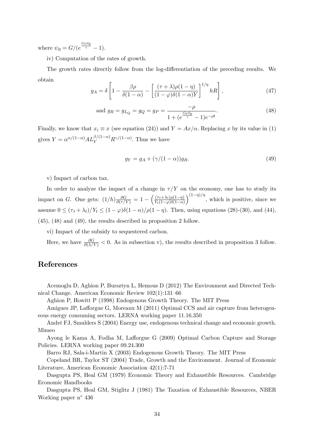where  $\psi_0 = G/(e^{\frac{G\rho S_0}{\gamma}} - 1).$ 

iv) Computation of the rates of growth.

The growth rates directly follow from the log-differentiation of the preceding results. We obtain

$$
g_A = \delta \left[ 1 - \frac{\beta \rho}{\delta (1 - \alpha)} - \left[ \frac{(\tau + \lambda)\rho (1 - \eta)}{(1 - \varphi)\delta (1 - \alpha)Y} \right]^{1/\eta} hR \right],
$$
\n(47)

and 
$$
g_R = g_{L_Q} = g_Q = g_P = \frac{-\rho}{1 + (e^{\frac{G\rho S_0}{\gamma}} - 1)e^{-\rho t}}
$$
. (48)

Finally, we know that  $x_i \equiv x$  (see equation (24)) and  $Y = Ax/\alpha$ . Replacing x by its value in (1) gives  $Y = \alpha^{\alpha/(1-\alpha)} A L_Y^{\beta/(1-\alpha)} R^{\gamma/(1-\alpha)}$ . Thus we have

$$
g_Y = g_A + (\gamma/(1-\alpha))g_R. \tag{49}
$$

v) Impact of carbon tax.

In order to analyze the impact of a change in  $\tau/Y$  on the economy, one has to study its impact on G. One gets:  $(1/h) \frac{\partial G}{\partial(\tau/Y)} = 1 - \left(\frac{(\tau_t + \lambda_t)\rho(1-\eta)}{Y_t(1-\varphi)\delta(1-\alpha)}\right)$  $Y_t(1-\varphi)\delta(1-\alpha)$  $\int_{0}^{(1-\eta)/\eta}$ , which is positive, since we assume  $0 \leq (\tau_t + \lambda_t)/Y_t \leq (1 - \varphi)\delta(1 - \alpha)/\rho(1 - \eta)$ . Then, using equations (28)-(30), and (44), (45), (48) and (49), the results described in proposition 2 follow.

vi) Impact of the subsidy to sequestered carbon.

Here, we have  $\frac{\partial G}{\partial (\lambda/Y)} < 0$ . As in subsection v), the results described in proposition 3 follow.

## References

Acemoglu D, Aghion P, Bursztyn L, Hemous D (2012) The Environment and Directed Technical Change. American Economic Review  $102(1):131-66$ 

Aghion P, Howitt P (1998) Endogenous Growth Theory. The MIT Press

Amigues JP, Lafforgue G, Moreaux M  $(2011)$  Optimal CCS and air capture from heterogeneous energy consuming sectors. LERNA working paper 11.16.350

André FJ, Smulders S (2004) Energy use, endogenous technical change and economic growth. Mimeo

Ayong le Kama A, Fodha M, Lafforgue G (2009) Optimal Carbon Capture and Storage Policies. LERNA working paper 09.24.300

Barro RJ, Sala-i-Martin X (2003) Endogenous Growth Theory. The MIT Press

Copeland BR, Taylor ST (2004) Trade, Growth and the Environment. Journal of Economic Literature, American Economic Association 42(1):7-71

Dasgupta PS, Heal GM (1979) Economic Theory and Exhaustible Resources. Cambridge Economic Handbooks

Dasgupta PS, Heal GM, Stiglitz J (1981) The Taxation of Exhaustible Resources, NBER Working paper  $n^{\circ}$  436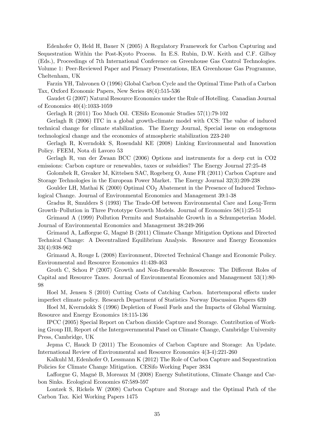Edenhofer O, Held H, Bauer N (2005) A Regulatory Framework for Carbon Capturing and Sequestration Within the Post-Kyoto Process. In E.S. Rubin, D.W. Keith and C.F. Gilboy (Eds.), Proceedings of 7th International Conference on Greenhouse Gas Control Technologies. Volume 1: Peer-Reviewed Paper and Plenary Presentations, IEA Greenhouse Gas Programme, Cheltenham, UK

Farzin YH, Tahvonen O (1996) Global Carbon Cycle and the Optimal Time Path of a Carbon Tax, Oxford Economic Papers, New Series 48(4):515-536

Gaudet G (2007) Natural Resource Economics under the Rule of Hotelling. Canadian Journal of Economics 40(4):1033-1059

Gerlagh R (2011) Too Much Oil. CESifo Economic Studies 57(1):79-102

Gerlagh R (2006) ITC in a global growth-climate model with CCS: The value of induced technical change for climate stabilization. The Energy Journal, Special issue on endogenous technological change and the economics of atmospheric stabilization 223-240

Gerlagh R, Kverndokk S, Rosendahl KE (2008) Linking Environmental and Innovation Policy. FEEM, Nota di Lavoro 53

Gerlagh R, van der Zwaan BCC (2006) Options and instruments for a deep cut in CO2 emissions: Carbon capture or renewables, taxes or subsidies? The Energy Journal 27:25-48

Golombek R, Greaker M, Kittelsen SAC, Rogeberg O, Aune FR (2011) Carbon Capture and Storage Technologies in the European Power Market. The Energy Journal 32(3):209-238

Goulder LH, Mathai K (2000) Optimal CO<sub>2</sub> Abatement in the Presence of Induced Technological Change. Journal of Environmental Economics and Management 39:1-38

Gradus R, Smulders S (1993) The Trade-Off between Environmental Care and Long-Term Growth–Pollution in Three Prototype Growth Models. Journal of Economics  $58(1):25-51$ 

Grimaud A (1999) Pollution Permits and Sustainable Growth in a Schumpeterian Model. Journal of Environmental Economics and Management 38:249-266

Grimaud A, Lafforgue G, Magné B (2011) Climate Change Mitigation Options and Directed Technical Change: A Decentralized Equilibrium Analysis. Resource and Energy Economics 33(4):938-962

Grimaud A, Rouge L (2008) Environment, Directed Technical Change and Economic Policy. Environmental and Resource Economics 41:439-463

Groth C, Schou P (2007) Growth and Non-Renewable Resources: The Different Roles of Capital and Resource Taxes. Journal of Environmental Economics and Management 53(1):80- 98

Hoel M, Jensen S (2010) Cutting Costs of Catching Carbon. Intertemporal effects under imperfect climate policy. Research Department of Statistics Norway Discussion Papers 639

Hoel M, Kverndokk S (1996) Depletion of Fossil Fuels and the Impacts of Global Warming. Resource and Energy Economics 18:115-136

IPCC (2005) Special Report on Carbon dioxide Capture and Storage. Contribution of Working Group III, Report of the Intergovernmental Panel on Climate Change, Cambridge University Press, Cambridge, UK

Jepma C, Hauck D (2011) The Economics of Carbon Capture and Storage: An Update. International Review of Environmental and Resource Economics 4(3-4):221-260

Kalkuhl M, Edenhofer O, Lessmann K (2012) The Role of Carbon Capture and Sequestration Policies for Climate Change Mitigation. CESifo Working Paper 3834

Lafforgue G, Magné B, Moreaux M (2008) Energy Substitutions, Climate Change and Carbon Sinks. Ecological Economics 67:589-597

Lontzek S, Rickels W (2008) Carbon Capture and Storage and the Optimal Path of the Carbon Tax. Kiel Working Papers 1475